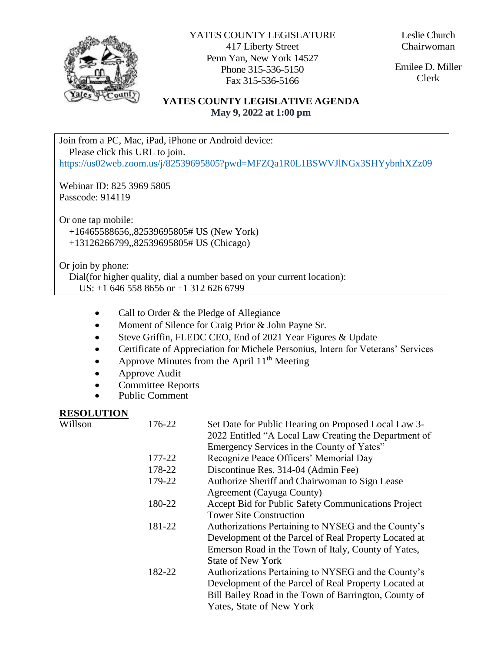

YATES COUNTY LEGISLATURE 417 Liberty Street Penn Yan, New York 14527 Phone 315-536-5150 Fax 315-536-5166

Emilee D. Miller Clerk

#### **YATES COUNTY LEGISLATIVE AGENDA May 9, 2022 at 1:00 pm**

Join from a PC, Mac, iPad, iPhone or Android device: Please click this URL to join. <https://us02web.zoom.us/j/82539695805?pwd=MFZQa1R0L1BSWVJlNGx3SHYybnhXZz09>

Webinar ID: 825 3969 5805 Passcode: 914119

Or one tap mobile: +16465588656,,82539695805# US (New York) +13126266799,,82539695805# US (Chicago)

Or join by phone:

 Dial(for higher quality, dial a number based on your current location): US: +1 646 558 8656 or +1 312 626 6799

- Call to Order & the Pledge of Allegiance
- Moment of Silence for Craig Prior & John Payne Sr.
- Steve Griffin, FLEDC CEO, End of 2021 Year Figures & Update
- Certificate of Appreciation for Michele Personius, Intern for Veterans' Services
- Approve Minutes from the April  $11<sup>th</sup>$  Meeting
- Approve Audit
- Committee Reports
- Public Comment

#### **RESOLUTION**

| 176-22 | Set Date for Public Hearing on Proposed Local Law 3-<br>2022 Entitled "A Local Law Creating the Department of<br>Emergency Services in the County of Yates" |
|--------|-------------------------------------------------------------------------------------------------------------------------------------------------------------|
| 177-22 | Recognize Peace Officers' Memorial Day                                                                                                                      |
| 178-22 | Discontinue Res. 314-04 (Admin Fee)                                                                                                                         |
| 179-22 | Authorize Sheriff and Chairwoman to Sign Lease                                                                                                              |
|        | Agreement (Cayuga County)                                                                                                                                   |
| 180-22 | Accept Bid for Public Safety Communications Project                                                                                                         |
|        | <b>Tower Site Construction</b>                                                                                                                              |
| 181-22 | Authorizations Pertaining to NYSEG and the County's                                                                                                         |
|        | Development of the Parcel of Real Property Located at                                                                                                       |
|        | Emerson Road in the Town of Italy, County of Yates,                                                                                                         |
|        | <b>State of New York</b>                                                                                                                                    |
| 182-22 | Authorizations Pertaining to NYSEG and the County's                                                                                                         |
|        | Development of the Parcel of Real Property Located at                                                                                                       |
|        | Bill Bailey Road in the Town of Barrington, County of                                                                                                       |
|        | Yates, State of New York                                                                                                                                    |
|        |                                                                                                                                                             |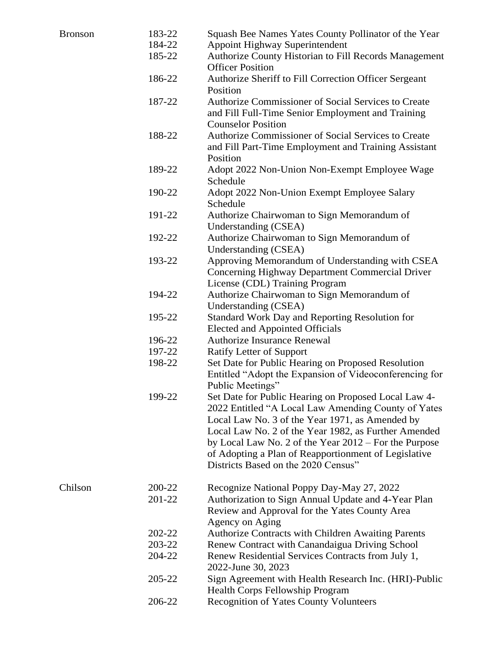| Bronson | 183-22 | Squash Bee Names Yates County Pollinator of the Year    |
|---------|--------|---------------------------------------------------------|
|         | 184-22 | Appoint Highway Superintendent                          |
|         | 185-22 | Authorize County Historian to Fill Records Management   |
|         |        | <b>Officer Position</b>                                 |
|         | 186-22 | Authorize Sheriff to Fill Correction Officer Sergeant   |
|         |        | Position                                                |
|         | 187-22 | Authorize Commissioner of Social Services to Create     |
|         |        | and Fill Full-Time Senior Employment and Training       |
|         |        | <b>Counselor Position</b>                               |
|         | 188-22 | Authorize Commissioner of Social Services to Create     |
|         |        | and Fill Part-Time Employment and Training Assistant    |
|         |        | Position                                                |
|         | 189-22 | Adopt 2022 Non-Union Non-Exempt Employee Wage           |
|         |        | Schedule                                                |
|         | 190-22 | Adopt 2022 Non-Union Exempt Employee Salary             |
|         |        | Schedule                                                |
|         | 191-22 | Authorize Chairwoman to Sign Memorandum of              |
|         |        | Understanding (CSEA)                                    |
|         | 192-22 | Authorize Chairwoman to Sign Memorandum of              |
|         |        | <b>Understanding (CSEA)</b>                             |
|         | 193-22 | Approving Memorandum of Understanding with CSEA         |
|         |        | Concerning Highway Department Commercial Driver         |
|         |        | License (CDL) Training Program                          |
|         | 194-22 | Authorize Chairwoman to Sign Memorandum of              |
|         |        | Understanding (CSEA)                                    |
|         | 195-22 | Standard Work Day and Reporting Resolution for          |
|         |        | <b>Elected and Appointed Officials</b>                  |
|         | 196-22 | <b>Authorize Insurance Renewal</b>                      |
|         | 197-22 | Ratify Letter of Support                                |
|         | 198-22 | Set Date for Public Hearing on Proposed Resolution      |
|         |        | Entitled "Adopt the Expansion of Videoconferencing for  |
|         |        | Public Meetings"                                        |
|         | 199-22 | Set Date for Public Hearing on Proposed Local Law 4-    |
|         |        | 2022 Entitled "A Local Law Amending County of Yates     |
|         |        | Local Law No. 3 of the Year 1971, as Amended by         |
|         |        | Local Law No. 2 of the Year 1982, as Further Amended    |
|         |        | by Local Law No. 2 of the Year $2012$ – For the Purpose |
|         |        | of Adopting a Plan of Reapportionment of Legislative    |
|         |        | Districts Based on the 2020 Census"                     |
| Chilson | 200-22 | Recognize National Poppy Day-May 27, 2022               |
|         | 201-22 | Authorization to Sign Annual Update and 4-Year Plan     |
|         |        | Review and Approval for the Yates County Area           |
|         |        | Agency on Aging                                         |
|         | 202-22 | Authorize Contracts with Children Awaiting Parents      |
|         | 203-22 | Renew Contract with Canandaigua Driving School          |
|         | 204-22 | Renew Residential Services Contracts from July 1,       |
|         |        | 2022-June 30, 2023                                      |
|         | 205-22 | Sign Agreement with Health Research Inc. (HRI)-Public   |
|         |        | <b>Health Corps Fellowship Program</b>                  |
|         | 206-22 | <b>Recognition of Yates County Volunteers</b>           |
|         |        |                                                         |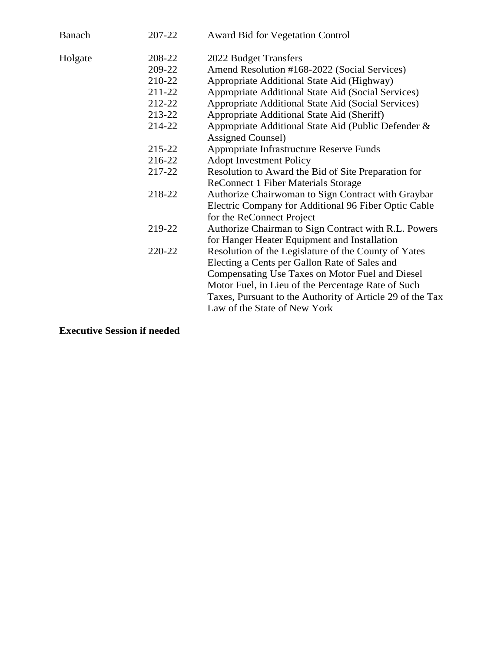| Banach  | 207-22 | <b>Award Bid for Vegetation Control</b>                   |
|---------|--------|-----------------------------------------------------------|
| Holgate | 208-22 | 2022 Budget Transfers                                     |
|         | 209-22 | Amend Resolution #168-2022 (Social Services)              |
|         | 210-22 | Appropriate Additional State Aid (Highway)                |
|         | 211-22 | Appropriate Additional State Aid (Social Services)        |
|         | 212-22 | Appropriate Additional State Aid (Social Services)        |
|         | 213-22 | Appropriate Additional State Aid (Sheriff)                |
|         | 214-22 | Appropriate Additional State Aid (Public Defender &       |
|         |        | Assigned Counsel)                                         |
|         | 215-22 | Appropriate Infrastructure Reserve Funds                  |
|         | 216-22 | <b>Adopt Investment Policy</b>                            |
|         | 217-22 | Resolution to Award the Bid of Site Preparation for       |
|         |        | <b>ReConnect 1 Fiber Materials Storage</b>                |
|         | 218-22 | Authorize Chairwoman to Sign Contract with Graybar        |
|         |        | Electric Company for Additional 96 Fiber Optic Cable      |
|         |        | for the ReConnect Project                                 |
|         | 219-22 | Authorize Chairman to Sign Contract with R.L. Powers      |
|         |        | for Hanger Heater Equipment and Installation              |
|         | 220-22 | Resolution of the Legislature of the County of Yates      |
|         |        | Electing a Cents per Gallon Rate of Sales and             |
|         |        | Compensating Use Taxes on Motor Fuel and Diesel           |
|         |        | Motor Fuel, in Lieu of the Percentage Rate of Such        |
|         |        | Taxes, Pursuant to the Authority of Article 29 of the Tax |
|         |        | Law of the State of New York                              |
|         |        |                                                           |

**Executive Session if needed**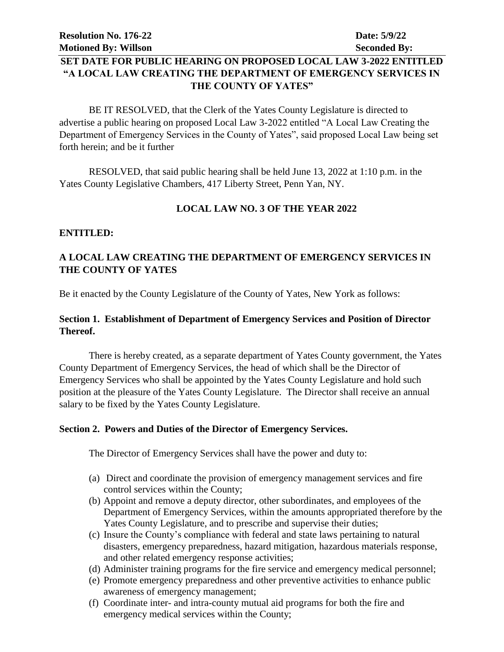#### **SET DATE FOR PUBLIC HEARING ON PROPOSED LOCAL LAW 3-2022 ENTITLED "A LOCAL LAW CREATING THE DEPARTMENT OF EMERGENCY SERVICES IN THE COUNTY OF YATES"**

BE IT RESOLVED, that the Clerk of the Yates County Legislature is directed to advertise a public hearing on proposed Local Law 3-2022 entitled "A Local Law Creating the Department of Emergency Services in the County of Yates", said proposed Local Law being set forth herein; and be it further

RESOLVED, that said public hearing shall be held June 13, 2022 at 1:10 p.m. in the Yates County Legislative Chambers, 417 Liberty Street, Penn Yan, NY.

#### **LOCAL LAW NO. 3 OF THE YEAR 2022**

#### **ENTITLED:**

#### **A LOCAL LAW CREATING THE DEPARTMENT OF EMERGENCY SERVICES IN THE COUNTY OF YATES**

Be it enacted by the County Legislature of the County of Yates, New York as follows:

#### **Section 1. Establishment of Department of Emergency Services and Position of Director Thereof.**

There is hereby created, as a separate department of Yates County government, the Yates County Department of Emergency Services, the head of which shall be the Director of Emergency Services who shall be appointed by the Yates County Legislature and hold such position at the pleasure of the Yates County Legislature. The Director shall receive an annual salary to be fixed by the Yates County Legislature.

#### **Section 2. Powers and Duties of the Director of Emergency Services.**

The Director of Emergency Services shall have the power and duty to:

- (a) Direct and coordinate the provision of emergency management services and fire control services within the County;
- (b) Appoint and remove a deputy director, other subordinates, and employees of the Department of Emergency Services, within the amounts appropriated therefore by the Yates County Legislature, and to prescribe and supervise their duties;
- (c) Insure the County's compliance with federal and state laws pertaining to natural disasters, emergency preparedness, hazard mitigation, hazardous materials response, and other related emergency response activities;
- (d) Administer training programs for the fire service and emergency medical personnel;
- (e) Promote emergency preparedness and other preventive activities to enhance public awareness of emergency management;
- (f) Coordinate inter- and intra-county mutual aid programs for both the fire and emergency medical services within the County;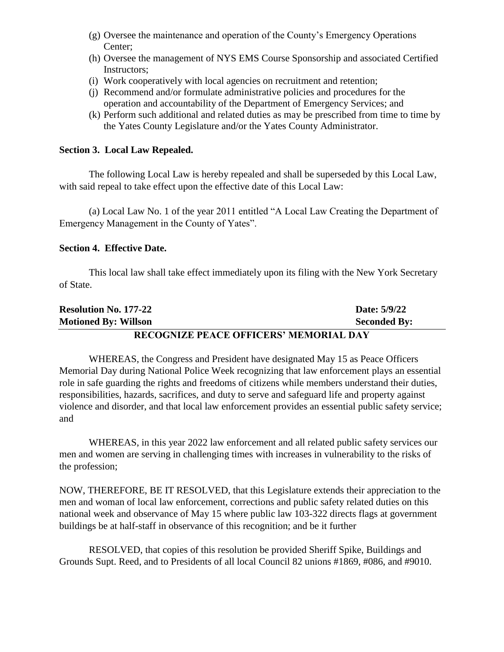- (g) Oversee the maintenance and operation of the County's Emergency Operations Center;
- (h) Oversee the management of NYS EMS Course Sponsorship and associated Certified Instructors;
- (i) Work cooperatively with local agencies on recruitment and retention;
- (j) Recommend and/or formulate administrative policies and procedures for the operation and accountability of the Department of Emergency Services; and
- (k) Perform such additional and related duties as may be prescribed from time to time by the Yates County Legislature and/or the Yates County Administrator.

#### **Section 3. Local Law Repealed.**

The following Local Law is hereby repealed and shall be superseded by this Local Law, with said repeal to take effect upon the effective date of this Local Law:

(a) Local Law No. 1 of the year 2011 entitled "A Local Law Creating the Department of Emergency Management in the County of Yates".

#### **Section 4. Effective Date.**

This local law shall take effect immediately upon its filing with the New York Secretary of State.

| <b>Resolution No. 177-22</b>                  | Date: 5/9/22        |  |
|-----------------------------------------------|---------------------|--|
| <b>Motioned By: Willson</b>                   | <b>Seconded By:</b> |  |
| <b>RECOGNIZE PEACE OFFICERS' MEMORIAL DAY</b> |                     |  |

WHEREAS, the Congress and President have designated May 15 as Peace Officers Memorial Day during National Police Week recognizing that law enforcement plays an essential role in safe guarding the rights and freedoms of citizens while members understand their duties, responsibilities, hazards, sacrifices, and duty to serve and safeguard life and property against violence and disorder, and that local law enforcement provides an essential public safety service; and

WHEREAS, in this year 2022 law enforcement and all related public safety services our men and women are serving in challenging times with increases in vulnerability to the risks of the profession;

NOW, THEREFORE, BE IT RESOLVED, that this Legislature extends their appreciation to the men and woman of local law enforcement, corrections and public safety related duties on this national week and observance of May 15 where public law 103-322 directs flags at government buildings be at half-staff in observance of this recognition; and be it further

RESOLVED, that copies of this resolution be provided Sheriff Spike, Buildings and Grounds Supt. Reed, and to Presidents of all local Council 82 unions #1869, #086, and #9010.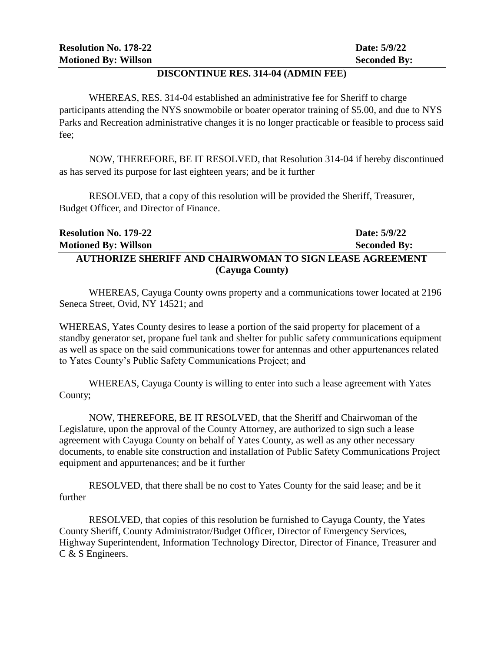#### **DISCONTINUE RES. 314-04 (ADMIN FEE)**

WHEREAS, RES. 314-04 established an administrative fee for Sheriff to charge participants attending the NYS snowmobile or boater operator training of \$5.00, and due to NYS Parks and Recreation administrative changes it is no longer practicable or feasible to process said fee;

NOW, THEREFORE, BE IT RESOLVED, that Resolution 314-04 if hereby discontinued as has served its purpose for last eighteen years; and be it further

RESOLVED, that a copy of this resolution will be provided the Sheriff, Treasurer, Budget Officer, and Director of Finance.

| <b>Resolution No. 179-22</b>                                    | Date: 5/9/22        |  |
|-----------------------------------------------------------------|---------------------|--|
| <b>Motioned By: Willson</b>                                     | <b>Seconded By:</b> |  |
| <b>AUTHORIZE SHERIFF AND CHAIRWOMAN TO SIGN LEASE AGREEMENT</b> |                     |  |
| (Cayuga County)                                                 |                     |  |

WHEREAS, Cayuga County owns property and a communications tower located at 2196 Seneca Street, Ovid, NY 14521; and

WHEREAS, Yates County desires to lease a portion of the said property for placement of a standby generator set, propane fuel tank and shelter for public safety communications equipment as well as space on the said communications tower for antennas and other appurtenances related to Yates County's Public Safety Communications Project; and

WHEREAS, Cayuga County is willing to enter into such a lease agreement with Yates County;

NOW, THEREFORE, BE IT RESOLVED, that the Sheriff and Chairwoman of the Legislature, upon the approval of the County Attorney, are authorized to sign such a lease agreement with Cayuga County on behalf of Yates County, as well as any other necessary documents, to enable site construction and installation of Public Safety Communications Project equipment and appurtenances; and be it further

RESOLVED, that there shall be no cost to Yates County for the said lease; and be it further

RESOLVED, that copies of this resolution be furnished to Cayuga County, the Yates County Sheriff, County Administrator/Budget Officer, Director of Emergency Services, Highway Superintendent, Information Technology Director, Director of Finance, Treasurer and C & S Engineers.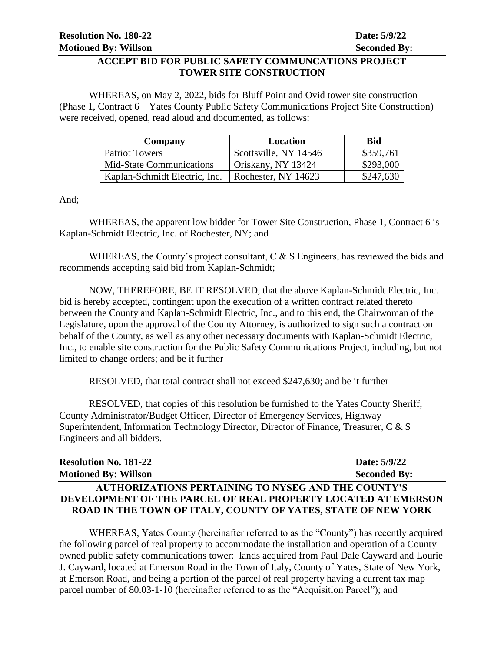#### **ACCEPT BID FOR PUBLIC SAFETY COMMUNCATIONS PROJECT TOWER SITE CONSTRUCTION**

WHEREAS, on May 2, 2022, bids for Bluff Point and Ovid tower site construction (Phase 1, Contract 6 – Yates County Public Safety Communications Project Site Construction) were received, opened, read aloud and documented, as follows:

| Company                         | Location              | Bid       |
|---------------------------------|-----------------------|-----------|
| Patriot Towers                  | Scottsville, NY 14546 | \$359,761 |
| <b>Mid-State Communications</b> | Oriskany, NY 13424    | \$293,000 |
| Kaplan-Schmidt Electric, Inc.   | Rochester, NY 14623   | \$247,630 |

And;

WHEREAS, the apparent low bidder for Tower Site Construction, Phase 1, Contract 6 is Kaplan-Schmidt Electric, Inc. of Rochester, NY; and

WHEREAS, the County's project consultant, C & S Engineers, has reviewed the bids and recommends accepting said bid from Kaplan-Schmidt;

NOW, THEREFORE, BE IT RESOLVED, that the above Kaplan-Schmidt Electric, Inc. bid is hereby accepted, contingent upon the execution of a written contract related thereto between the County and Kaplan-Schmidt Electric, Inc., and to this end, the Chairwoman of the Legislature, upon the approval of the County Attorney, is authorized to sign such a contract on behalf of the County, as well as any other necessary documents with Kaplan-Schmidt Electric, Inc., to enable site construction for the Public Safety Communications Project, including, but not limited to change orders; and be it further

RESOLVED, that total contract shall not exceed \$247,630; and be it further

RESOLVED, that copies of this resolution be furnished to the Yates County Sheriff, County Administrator/Budget Officer, Director of Emergency Services, Highway Superintendent, Information Technology Director, Director of Finance, Treasurer, C & S Engineers and all bidders.

| <b>Resolution No. 181-22</b>                                  | Date: 5/9/22        |
|---------------------------------------------------------------|---------------------|
| <b>Motioned By: Willson</b>                                   | <b>Seconded By:</b> |
| <b>AUTHORIZATIONS PERTAINING TO NYSEG AND THE COUNTY'S</b>    |                     |
| DEVELOPMENT OF THE PARCEL OF REAL PROPERTY LOCATED AT EMERSON |                     |
| ROAD IN THE TOWN OF ITALY, COUNTY OF YATES, STATE OF NEW YORK |                     |

WHEREAS, Yates County (hereinafter referred to as the "County") has recently acquired the following parcel of real property to accommodate the installation and operation of a County owned public safety communications tower: lands acquired from Paul Dale Cayward and Lourie J. Cayward, located at Emerson Road in the Town of Italy, County of Yates, State of New York, at Emerson Road, and being a portion of the parcel of real property having a current tax map parcel number of 80.03-1-10 (hereinafter referred to as the "Acquisition Parcel"); and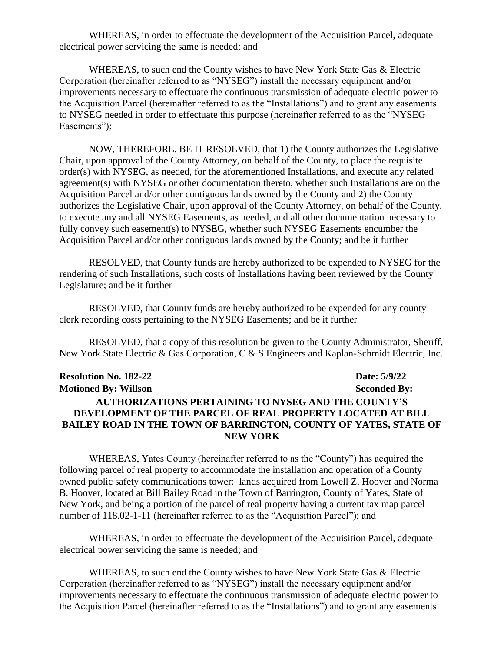WHEREAS, in order to effectuate the development of the Acquisition Parcel, adequate electrical power servicing the same is needed; and

WHEREAS, to such end the County wishes to have New York State Gas & Electric Corporation (hereinafter referred to as "NYSEG") install the necessary equipment and/or improvements necessary to effectuate the continuous transmission of adequate electric power to the Acquisition Parcel (hereinafter referred to as the "Installations") and to grant any easements to NYSEG needed in order to effectuate this purpose (hereinafter referred to as the "NYSEG Easements");

NOW, THEREFORE, BE IT RESOLVED, that 1) the County authorizes the Legislative Chair, upon approval of the County Attorney, on behalf of the County, to place the requisite order(s) with NYSEG, as needed, for the aforementioned Installations, and execute any related agreement(s) with NYSEG or other documentation thereto, whether such Installations are on the Acquisition Parcel and/or other contiguous lands owned by the County and 2) the County authorizes the Legislative Chair, upon approval of the County Attorney, on behalf of the County, to execute any and all NYSEG Easements, as needed, and all other documentation necessary to fully convey such easement(s) to NYSEG, whether such NYSEG Easements encumber the Acquisition Parcel and/or other contiguous lands owned by the County; and be it further

RESOLVED, that County funds are hereby authorized to be expended to NYSEG for the rendering of such Installations, such costs of Installations having been reviewed by the County Legislature; and be it further

RESOLVED, that County funds are hereby authorized to be expended for any county clerk recording costs pertaining to the NYSEG Easements; and be it further

RESOLVED, that a copy of this resolution be given to the County Administrator, Sheriff, New York State Electric & Gas Corporation, C & S Engineers and Kaplan-Schmidt Electric, Inc.

| <b>Resolution No. 182-22</b>                                            | Date: 5/9/22        |
|-------------------------------------------------------------------------|---------------------|
| <b>Motioned By: Willson</b>                                             | <b>Seconded By:</b> |
| <b>AUTHORIZATIONS PERTAINING TO NYSEG AND THE COUNTY'S</b>              |                     |
| DEVELOPMENT OF THE PARCEL OF REAL PROPERTY LOCATED AT BILL              |                     |
| <b>BAILEY ROAD IN THE TOWN OF BARRINGTON, COUNTY OF YATES, STATE OF</b> |                     |
| <b>NEW YORK</b>                                                         |                     |

WHEREAS, Yates County (hereinafter referred to as the "County") has acquired the following parcel of real property to accommodate the installation and operation of a County owned public safety communications tower: lands acquired from Lowell Z. Hoover and Norma B. Hoover, located at Bill Bailey Road in the Town of Barrington, County of Yates, State of New York, and being a portion of the parcel of real property having a current tax map parcel number of 118.02-1-11 (hereinafter referred to as the "Acquisition Parcel"); and

WHEREAS, in order to effectuate the development of the Acquisition Parcel, adequate electrical power servicing the same is needed; and

WHEREAS, to such end the County wishes to have New York State Gas & Electric Corporation (hereinafter referred to as "NYSEG") install the necessary equipment and/or improvements necessary to effectuate the continuous transmission of adequate electric power to the Acquisition Parcel (hereinafter referred to as the "Installations") and to grant any easements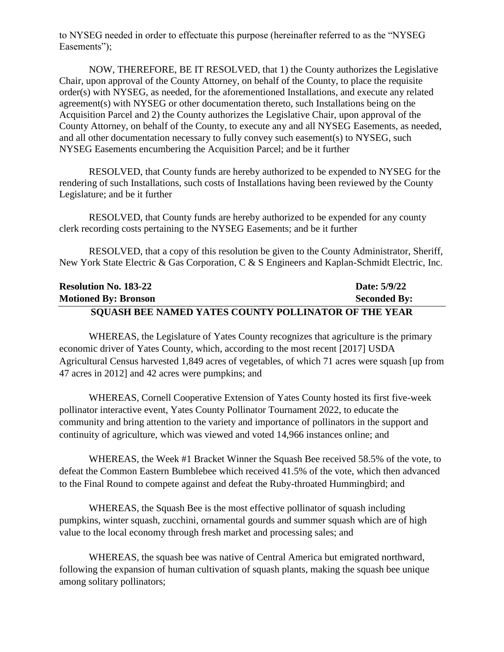to NYSEG needed in order to effectuate this purpose (hereinafter referred to as the "NYSEG Easements");

NOW, THEREFORE, BE IT RESOLVED, that 1) the County authorizes the Legislative Chair, upon approval of the County Attorney, on behalf of the County, to place the requisite order(s) with NYSEG, as needed, for the aforementioned Installations, and execute any related agreement(s) with NYSEG or other documentation thereto, such Installations being on the Acquisition Parcel and 2) the County authorizes the Legislative Chair, upon approval of the County Attorney, on behalf of the County, to execute any and all NYSEG Easements, as needed, and all other documentation necessary to fully convey such easement(s) to NYSEG, such NYSEG Easements encumbering the Acquisition Parcel; and be it further

RESOLVED, that County funds are hereby authorized to be expended to NYSEG for the rendering of such Installations, such costs of Installations having been reviewed by the County Legislature; and be it further

RESOLVED, that County funds are hereby authorized to be expended for any county clerk recording costs pertaining to the NYSEG Easements; and be it further

RESOLVED, that a copy of this resolution be given to the County Administrator, Sheriff, New York State Electric & Gas Corporation, C & S Engineers and Kaplan-Schmidt Electric, Inc.

| <b>Resolution No. 183-22</b>                                | Date: 5/9/22        |
|-------------------------------------------------------------|---------------------|
| <b>Motioned By: Bronson</b>                                 | <b>Seconded By:</b> |
| <b>SOUASH BEE NAMED YATES COUNTY POLLINATOR OF THE YEAR</b> |                     |

WHEREAS, the Legislature of Yates County recognizes that agriculture is the primary economic driver of Yates County, which, according to the most recent [2017] USDA Agricultural Census harvested 1,849 acres of vegetables, of which 71 acres were squash [up from 47 acres in 2012] and 42 acres were pumpkins; and

WHEREAS, Cornell Cooperative Extension of Yates County hosted its first five-week pollinator interactive event, Yates County Pollinator Tournament 2022, to educate the community and bring attention to the variety and importance of pollinators in the support and continuity of agriculture, which was viewed and voted 14,966 instances online; and

WHEREAS, the Week #1 Bracket Winner the Squash Bee received 58.5% of the vote, to defeat the Common Eastern Bumblebee which received 41.5% of the vote, which then advanced to the Final Round to compete against and defeat the Ruby-throated Hummingbird; and

WHEREAS, the Squash Bee is the most effective pollinator of squash including pumpkins, winter squash, zucchini, ornamental gourds and summer squash which are of high value to the local economy through fresh market and processing sales; and

WHEREAS, the squash bee was native of Central America but emigrated northward, following the expansion of human cultivation of squash plants, making the squash bee unique among solitary pollinators;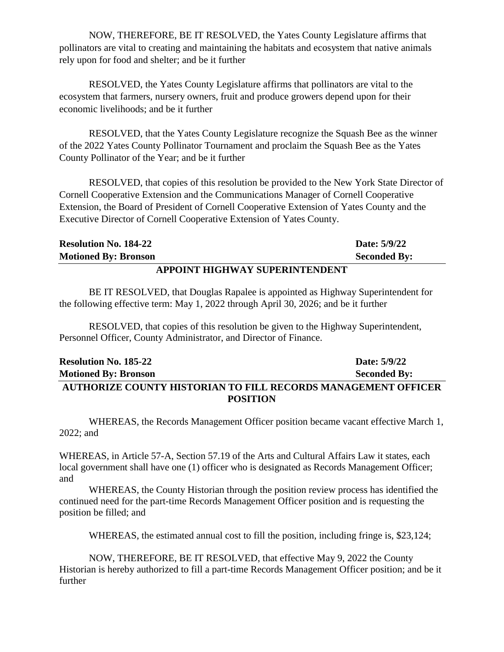NOW, THEREFORE, BE IT RESOLVED, the Yates County Legislature affirms that pollinators are vital to creating and maintaining the habitats and ecosystem that native animals rely upon for food and shelter; and be it further

RESOLVED, the Yates County Legislature affirms that pollinators are vital to the ecosystem that farmers, nursery owners, fruit and produce growers depend upon for their economic livelihoods; and be it further

RESOLVED, that the Yates County Legislature recognize the Squash Bee as the winner of the 2022 Yates County Pollinator Tournament and proclaim the Squash Bee as the Yates County Pollinator of the Year; and be it further

RESOLVED, that copies of this resolution be provided to the New York State Director of Cornell Cooperative Extension and the Communications Manager of Cornell Cooperative Extension, the Board of President of Cornell Cooperative Extension of Yates County and the Executive Director of Cornell Cooperative Extension of Yates County.

| I DDAINTE HLAHULL V ALDEDINTENDENTE |  |                     |
|-------------------------------------|--|---------------------|
| <b>Motioned By: Bronson</b>         |  | <b>Seconded By:</b> |
| <b>Resolution No. 184-22</b>        |  | Date: 5/9/22        |

#### **APPOINT HIGHWAY SUPERINTENDENT**

BE IT RESOLVED, that Douglas Rapalee is appointed as Highway Superintendent for the following effective term: May 1, 2022 through April 30, 2026; and be it further

RESOLVED, that copies of this resolution be given to the Highway Superintendent, Personnel Officer, County Administrator, and Director of Finance.

| <b>Resolution No. 185-22</b>                                         | Date: 5/9/22        |
|----------------------------------------------------------------------|---------------------|
| <b>Motioned By: Bronson</b>                                          | <b>Seconded By:</b> |
| <b>AUTHORIZE COUNTY HISTORIAN TO FILL RECORDS MANAGEMENT OFFICER</b> |                     |
| <b>POSITION</b>                                                      |                     |

WHEREAS, the Records Management Officer position became vacant effective March 1, 2022; and

WHEREAS, in Article 57-A, Section 57.19 of the Arts and Cultural Affairs Law it states, each local government shall have one (1) officer who is designated as Records Management Officer; and

WHEREAS, the County Historian through the position review process has identified the continued need for the part-time Records Management Officer position and is requesting the position be filled; and

WHEREAS, the estimated annual cost to fill the position, including fringe is, \$23,124;

NOW, THEREFORE, BE IT RESOLVED, that effective May 9, 2022 the County Historian is hereby authorized to fill a part-time Records Management Officer position; and be it further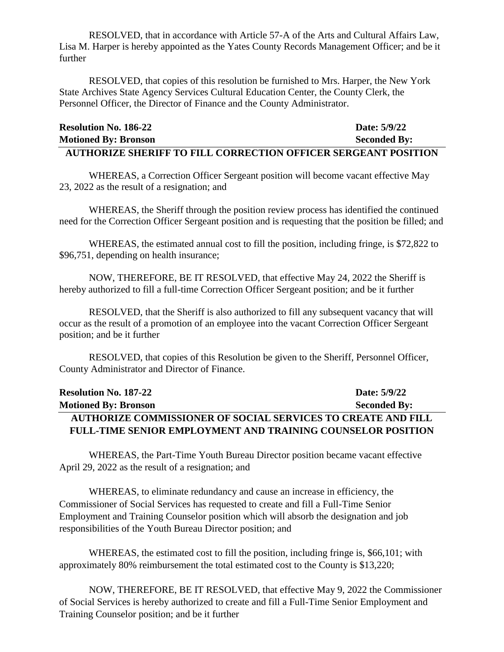RESOLVED, that in accordance with Article 57-A of the Arts and Cultural Affairs Law, Lisa M. Harper is hereby appointed as the Yates County Records Management Officer; and be it further

RESOLVED, that copies of this resolution be furnished to Mrs. Harper, the New York State Archives State Agency Services Cultural Education Center, the County Clerk, the Personnel Officer, the Director of Finance and the County Administrator.

| <b>Resolution No. 186-22</b>                                          | Date: 5/9/22        |
|-----------------------------------------------------------------------|---------------------|
| <b>Motioned By: Bronson</b>                                           | <b>Seconded By:</b> |
| <b>AUTHORIZE SHERIFF TO FILL CORRECTION OFFICER SERGEANT POSITION</b> |                     |

WHEREAS, a Correction Officer Sergeant position will become vacant effective May 23, 2022 as the result of a resignation; and

WHEREAS, the Sheriff through the position review process has identified the continued need for the Correction Officer Sergeant position and is requesting that the position be filled; and

WHEREAS, the estimated annual cost to fill the position, including fringe, is \$72,822 to \$96,751, depending on health insurance;

NOW, THEREFORE, BE IT RESOLVED, that effective May 24, 2022 the Sheriff is hereby authorized to fill a full-time Correction Officer Sergeant position; and be it further

RESOLVED, that the Sheriff is also authorized to fill any subsequent vacancy that will occur as the result of a promotion of an employee into the vacant Correction Officer Sergeant position; and be it further

RESOLVED, that copies of this Resolution be given to the Sheriff, Personnel Officer, County Administrator and Director of Finance.

| <b>Resolution No. 187-22</b>                                        | Date: 5/9/22        |
|---------------------------------------------------------------------|---------------------|
| <b>Motioned By: Bronson</b>                                         | <b>Seconded By:</b> |
| <b>AUTHORIZE COMMISSIONER OF SOCIAL SERVICES TO CREATE AND FILL</b> |                     |
| <b>FULL-TIME SENIOR EMPLOYMENT AND TRAINING COUNSELOR POSITION</b>  |                     |

WHEREAS, the Part-Time Youth Bureau Director position became vacant effective April 29, 2022 as the result of a resignation; and

WHEREAS, to eliminate redundancy and cause an increase in efficiency, the Commissioner of Social Services has requested to create and fill a Full-Time Senior Employment and Training Counselor position which will absorb the designation and job responsibilities of the Youth Bureau Director position; and

WHEREAS, the estimated cost to fill the position, including fringe is, \$66,101; with approximately 80% reimbursement the total estimated cost to the County is \$13,220;

NOW, THEREFORE, BE IT RESOLVED, that effective May 9, 2022 the Commissioner of Social Services is hereby authorized to create and fill a Full-Time Senior Employment and Training Counselor position; and be it further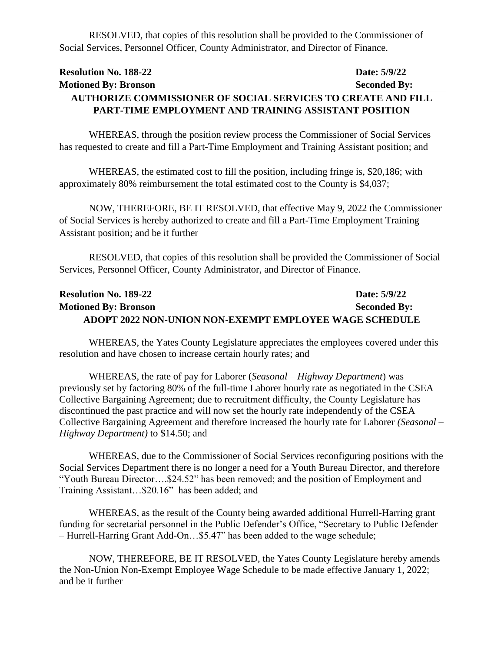RESOLVED, that copies of this resolution shall be provided to the Commissioner of Social Services, Personnel Officer, County Administrator, and Director of Finance.

# **Resolution No. 188-22 Date: 5/9/22 Motioned By: Bronson Seconded By: AUTHORIZE COMMISSIONER OF SOCIAL SERVICES TO CREATE AND FILL**

# **PART-TIME EMPLOYMENT AND TRAINING ASSISTANT POSITION**

WHEREAS, through the position review process the Commissioner of Social Services has requested to create and fill a Part-Time Employment and Training Assistant position; and

WHEREAS, the estimated cost to fill the position, including fringe is, \$20,186; with approximately 80% reimbursement the total estimated cost to the County is \$4,037;

NOW, THEREFORE, BE IT RESOLVED, that effective May 9, 2022 the Commissioner of Social Services is hereby authorized to create and fill a Part-Time Employment Training Assistant position; and be it further

RESOLVED, that copies of this resolution shall be provided the Commissioner of Social Services, Personnel Officer, County Administrator, and Director of Finance.

| <b>Resolution No. 189-22</b>                                  | Date: 5/9/22        |
|---------------------------------------------------------------|---------------------|
| <b>Motioned By: Bronson</b>                                   | <b>Seconded By:</b> |
| <b>ADOPT 2022 NON-UNION NON-EXEMPT EMPLOYEE WAGE SCHEDULE</b> |                     |

WHEREAS, the Yates County Legislature appreciates the employees covered under this resolution and have chosen to increase certain hourly rates; and

WHEREAS, the rate of pay for Laborer (*Seasonal – Highway Department*) was previously set by factoring 80% of the full-time Laborer hourly rate as negotiated in the CSEA Collective Bargaining Agreement; due to recruitment difficulty, the County Legislature has discontinued the past practice and will now set the hourly rate independently of the CSEA Collective Bargaining Agreement and therefore increased the hourly rate for Laborer *(Seasonal – Highway Department)* to \$14.50; and

WHEREAS, due to the Commissioner of Social Services reconfiguring positions with the Social Services Department there is no longer a need for a Youth Bureau Director, and therefore "Youth Bureau Director….\$24.52" has been removed; and the position of Employment and Training Assistant…\$20.16" has been added; and

WHEREAS, as the result of the County being awarded additional Hurrell-Harring grant funding for secretarial personnel in the Public Defender's Office, "Secretary to Public Defender – Hurrell-Harring Grant Add-On…\$5.47" has been added to the wage schedule;

NOW, THEREFORE, BE IT RESOLVED, the Yates County Legislature hereby amends the Non-Union Non-Exempt Employee Wage Schedule to be made effective January 1, 2022; and be it further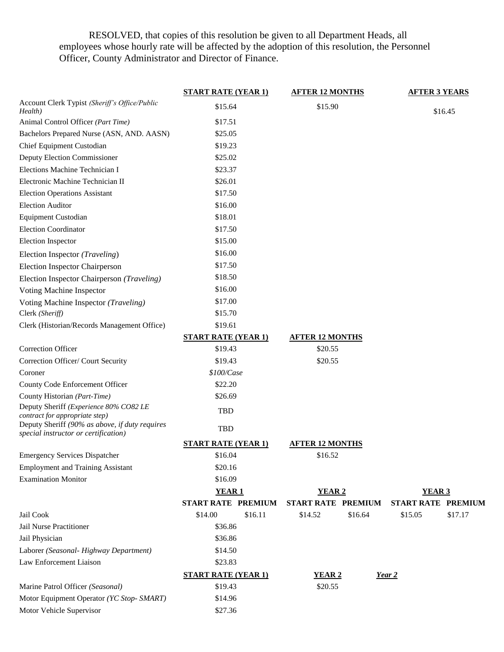RESOLVED, that copies of this resolution be given to all Department Heads, all employees whose hourly rate will be affected by the adoption of this resolution, the Personnel Officer, County Administrator and Director of Finance.

|                                                                                        | <b>START RATE (YEAR 1)</b> | <b>AFTER 12 MONTHS</b>    | <b>AFTER 3 YEARS</b>      |
|----------------------------------------------------------------------------------------|----------------------------|---------------------------|---------------------------|
| Account Clerk Typist (Sheriff's Office/Public<br>Health)                               | \$15.64                    | \$15.90                   | \$16.45                   |
| Animal Control Officer (Part Time)                                                     | \$17.51                    |                           |                           |
| Bachelors Prepared Nurse (ASN, AND. AASN)                                              | \$25.05                    |                           |                           |
| Chief Equipment Custodian                                                              | \$19.23                    |                           |                           |
| Deputy Election Commissioner                                                           | \$25.02                    |                           |                           |
| Elections Machine Technician I                                                         | \$23.37                    |                           |                           |
| Electronic Machine Technician II                                                       | \$26.01                    |                           |                           |
| <b>Election Operations Assistant</b>                                                   | \$17.50                    |                           |                           |
| <b>Election Auditor</b>                                                                | \$16.00                    |                           |                           |
| <b>Equipment Custodian</b>                                                             | \$18.01                    |                           |                           |
| <b>Election Coordinator</b>                                                            | \$17.50                    |                           |                           |
| <b>Election Inspector</b>                                                              | \$15.00                    |                           |                           |
| Election Inspector (Traveling)                                                         | \$16.00                    |                           |                           |
| <b>Election Inspector Chairperson</b>                                                  | \$17.50                    |                           |                           |
| Election Inspector Chairperson (Traveling)                                             | \$18.50                    |                           |                           |
| Voting Machine Inspector                                                               | \$16.00                    |                           |                           |
| Voting Machine Inspector (Traveling)                                                   | \$17.00                    |                           |                           |
| Clerk (Sheriff)                                                                        | \$15.70                    |                           |                           |
| Clerk (Historian/Records Management Office)                                            | \$19.61                    |                           |                           |
|                                                                                        | <b>START RATE (YEAR 1)</b> | <b>AFTER 12 MONTHS</b>    |                           |
| <b>Correction Officer</b>                                                              | \$19.43                    | \$20.55                   |                           |
| Correction Officer/ Court Security                                                     | \$19.43                    | \$20.55                   |                           |
| Coroner                                                                                | \$100/Case                 |                           |                           |
| County Code Enforcement Officer                                                        | \$22.20                    |                           |                           |
| County Historian (Part-Time)                                                           | \$26.69                    |                           |                           |
| Deputy Sheriff (Experience 80% CO82 LE<br>contract for appropriate step)               | <b>TBD</b>                 |                           |                           |
| Deputy Sheriff (90% as above, if duty requires<br>special instructor or certification) | TBD                        |                           |                           |
|                                                                                        | <b>START RATE (YEAR 1)</b> | <b>AFTER 12 MONTHS</b>    |                           |
| <b>Emergency Services Dispatcher</b>                                                   | \$16.04                    | \$16.52                   |                           |
| <b>Employment and Training Assistant</b>                                               | \$20.16                    |                           |                           |
| <b>Examination Monitor</b>                                                             | \$16.09                    |                           |                           |
|                                                                                        | <b>YEAR1</b>               | <b>YEAR 2</b>             | <b>YEAR 3</b>             |
|                                                                                        | START RATE PREMIUM         | <b>START RATE PREMIUM</b> | <b>START RATE PREMIUM</b> |
| Jail Cook                                                                              | \$16.11<br>\$14.00         | \$16.64<br>\$14.52        | \$17.17<br>\$15.05        |
| Jail Nurse Practitioner                                                                | \$36.86                    |                           |                           |
| Jail Physician                                                                         | \$36.86                    |                           |                           |
| Laborer (Seasonal- Highway Department)                                                 | \$14.50                    |                           |                           |
| Law Enforcement Liaison                                                                | \$23.83                    |                           |                           |
|                                                                                        | <b>START RATE (YEAR 1)</b> | <b>YEAR 2</b>             | Year 2                    |
| Marine Patrol Officer (Seasonal)                                                       | \$19.43                    | \$20.55                   |                           |
| Motor Equipment Operator (YC Stop- SMART)                                              | \$14.96                    |                           |                           |
| Motor Vehicle Supervisor                                                               | \$27.36                    |                           |                           |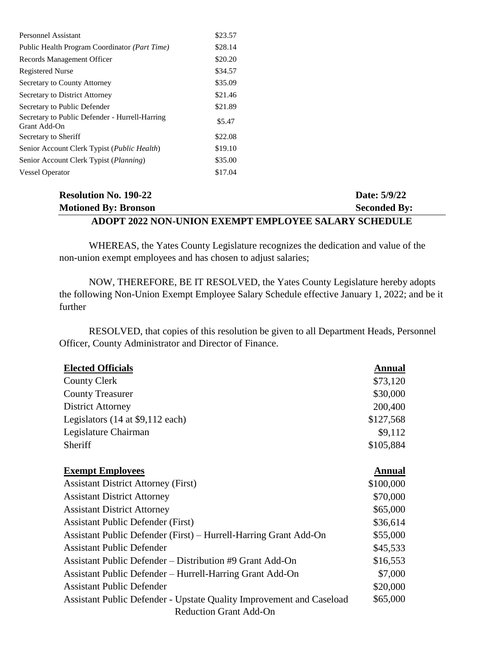| <b>Personnel Assistant</b>                                     | \$23.57 |
|----------------------------------------------------------------|---------|
| Public Health Program Coordinator ( <i>Part Time</i> )         | \$28.14 |
| Records Management Officer                                     | \$20.20 |
| <b>Registered Nurse</b>                                        | \$34.57 |
| Secretary to County Attorney                                   | \$35.09 |
| Secretary to District Attorney                                 | \$21.46 |
| Secretary to Public Defender                                   | \$21.89 |
| Secretary to Public Defender - Hurrell-Harring<br>Grant Add-On | \$5.47  |
| Secretary to Sheriff                                           | \$22.08 |
| Senior Account Clerk Typist ( <i>Public Health</i> )           | \$19.10 |
| Senior Account Clerk Typist ( <i>Planning</i> )                | \$35.00 |
| <b>Vessel Operator</b>                                         | \$17.04 |

### **Resolution No. 190-22 Date: 5/9/22 Motioned By: Bronson Seconded By: ADOPT 2022 NON-UNION EXEMPT EMPLOYEE SALARY SCHEDULE**

WHEREAS, the Yates County Legislature recognizes the dedication and value of the non-union exempt employees and has chosen to adjust salaries;

NOW, THEREFORE, BE IT RESOLVED, the Yates County Legislature hereby adopts the following Non-Union Exempt Employee Salary Schedule effective January 1, 2022; and be it further

RESOLVED, that copies of this resolution be given to all Department Heads, Personnel Officer, County Administrator and Director of Finance.

| <b>Elected Officials</b>                                                    | <b>Annual</b> |
|-----------------------------------------------------------------------------|---------------|
| <b>County Clerk</b>                                                         | \$73,120      |
| <b>County Treasurer</b>                                                     | \$30,000      |
| <b>District Attorney</b>                                                    | 200,400       |
| Legislators $(14$ at \$9,112 each)                                          | \$127,568     |
| Legislature Chairman                                                        | \$9,112       |
| Sheriff                                                                     | \$105,884     |
|                                                                             |               |
| <b>Exempt Employees</b>                                                     | Annual        |
| <b>Assistant District Attorney (First)</b>                                  | \$100,000     |
| <b>Assistant District Attorney</b>                                          | \$70,000      |
| <b>Assistant District Attorney</b>                                          | \$65,000      |
| <b>Assistant Public Defender (First)</b>                                    | \$36,614      |
| Assistant Public Defender (First) – Hurrell-Harring Grant Add-On            | \$55,000      |
| <b>Assistant Public Defender</b>                                            | \$45,533      |
| <b>Assistant Public Defender – Distribution #9 Grant Add-On</b>             | \$16,553      |
| Assistant Public Defender – Hurrell-Harring Grant Add-On                    | \$7,000       |
| <b>Assistant Public Defender</b>                                            | \$20,000      |
| <b>Assistant Public Defender - Upstate Quality Improvement and Caseload</b> | \$65,000      |
| <b>Reduction Grant Add-On</b>                                               |               |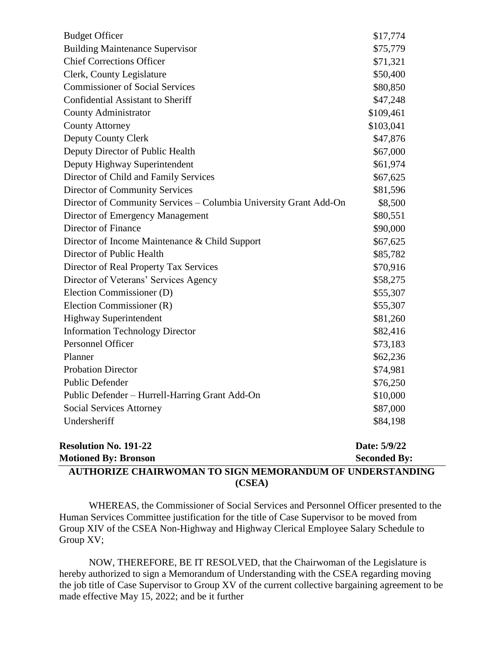| AUTHORIZE CHAIRWOMAN TO SIGN MEMORANDUM OF UNDERSTANDING          |                     |
|-------------------------------------------------------------------|---------------------|
| <b>Motioned By: Bronson</b>                                       | <b>Seconded By:</b> |
| <b>Resolution No. 191-22</b>                                      | Date: 5/9/22        |
|                                                                   |                     |
| Undersheriff                                                      | \$84,198            |
| Social Services Attorney                                          | \$87,000            |
| Public Defender – Hurrell-Harring Grant Add-On                    | \$10,000            |
| <b>Public Defender</b>                                            | \$76,250            |
| <b>Probation Director</b>                                         | \$74,981            |
| Planner                                                           | \$62,236            |
| Personnel Officer                                                 | \$73,183            |
| <b>Information Technology Director</b>                            | \$82,416            |
| <b>Highway Superintendent</b>                                     | \$81,260            |
| Election Commissioner (R)                                         | \$55,307            |
| Election Commissioner (D)                                         | \$55,307            |
| Director of Veterans' Services Agency                             | \$58,275            |
| Director of Real Property Tax Services                            | \$70,916            |
| Director of Public Health                                         | \$85,782            |
| Director of Income Maintenance & Child Support                    | \$67,625            |
| Director of Finance                                               | \$90,000            |
| Director of Emergency Management                                  | \$80,551            |
| Director of Community Services - Columbia University Grant Add-On | \$8,500             |
| <b>Director of Community Services</b>                             | \$81,596            |
| Director of Child and Family Services                             | \$67,625            |
| Deputy Highway Superintendent                                     | \$61,974            |
| Deputy Director of Public Health                                  | \$67,000            |
| Deputy County Clerk                                               | \$47,876            |
| <b>County Attorney</b>                                            | \$103,041           |
| <b>County Administrator</b>                                       | \$109,461           |
| <b>Confidential Assistant to Sheriff</b>                          | \$47,248            |
| <b>Commissioner of Social Services</b>                            | \$80,850            |
| Clerk, County Legislature                                         | \$50,400            |
| <b>Chief Corrections Officer</b>                                  | \$71,321            |
| <b>Building Maintenance Supervisor</b>                            | \$75,779            |
| <b>Budget Officer</b>                                             | \$17,774            |
|                                                                   |                     |

**(CSEA)**

WHEREAS, the Commissioner of Social Services and Personnel Officer presented to the Human Services Committee justification for the title of Case Supervisor to be moved from Group XIV of the CSEA Non-Highway and Highway Clerical Employee Salary Schedule to Group XV;

NOW, THEREFORE, BE IT RESOLVED, that the Chairwoman of the Legislature is hereby authorized to sign a Memorandum of Understanding with the CSEA regarding moving the job title of Case Supervisor to Group XV of the current collective bargaining agreement to be made effective May 15, 2022; and be it further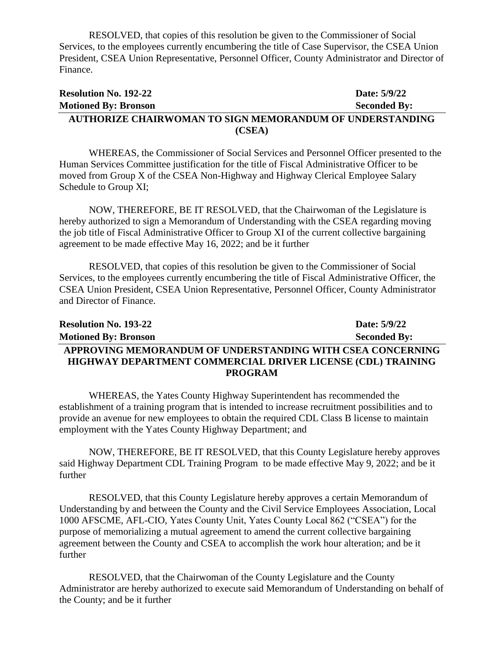RESOLVED, that copies of this resolution be given to the Commissioner of Social Services, to the employees currently encumbering the title of Case Supervisor, the CSEA Union President, CSEA Union Representative, Personnel Officer, County Administrator and Director of Finance.

| <b>Resolution No. 192-22</b>                             | Date: 5/9/22        |
|----------------------------------------------------------|---------------------|
| <b>Motioned By: Bronson</b>                              | <b>Seconded By:</b> |
| AUTHORIZE CHAIRWOMAN TO SIGN MEMORANDUM OF UNDERSTANDING |                     |
| (CSEA)                                                   |                     |

WHEREAS, the Commissioner of Social Services and Personnel Officer presented to the Human Services Committee justification for the title of Fiscal Administrative Officer to be moved from Group X of the CSEA Non-Highway and Highway Clerical Employee Salary Schedule to Group XI;

NOW, THEREFORE, BE IT RESOLVED, that the Chairwoman of the Legislature is hereby authorized to sign a Memorandum of Understanding with the CSEA regarding moving the job title of Fiscal Administrative Officer to Group XI of the current collective bargaining agreement to be made effective May 16, 2022; and be it further

RESOLVED, that copies of this resolution be given to the Commissioner of Social Services, to the employees currently encumbering the title of Fiscal Administrative Officer, the CSEA Union President, CSEA Union Representative, Personnel Officer, County Administrator and Director of Finance.

| <b>Resolution No. 193-22</b>                                | Date: 5/9/22        |
|-------------------------------------------------------------|---------------------|
| <b>Motioned By: Bronson</b>                                 | <b>Seconded By:</b> |
| APPROVING MEMORANDUM OF UNDERSTANDING WITH CSEA CONCERNING  |                     |
| HIGHWAY DEPARTMENT COMMERCIAL DRIVER LICENSE (CDL) TRAINING |                     |
| <b>PROGRAM</b>                                              |                     |

WHEREAS, the Yates County Highway Superintendent has recommended the establishment of a training program that is intended to increase recruitment possibilities and to provide an avenue for new employees to obtain the required CDL Class B license to maintain employment with the Yates County Highway Department; and

NOW, THEREFORE, BE IT RESOLVED, that this County Legislature hereby approves said Highway Department CDL Training Program to be made effective May 9, 2022; and be it further

RESOLVED, that this County Legislature hereby approves a certain Memorandum of Understanding by and between the County and the Civil Service Employees Association, Local 1000 AFSCME, AFL-CIO, Yates County Unit, Yates County Local 862 ("CSEA") for the purpose of memorializing a mutual agreement to amend the current collective bargaining agreement between the County and CSEA to accomplish the work hour alteration; and be it further

RESOLVED, that the Chairwoman of the County Legislature and the County Administrator are hereby authorized to execute said Memorandum of Understanding on behalf of the County; and be it further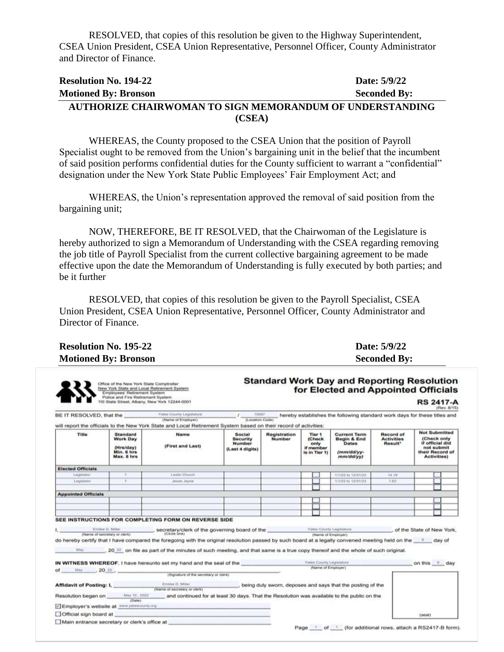RESOLVED, that copies of this resolution be given to the Highway Superintendent, CSEA Union President, CSEA Union Representative, Personnel Officer, County Administrator and Director of Finance.

#### **Resolution No. 194-22 Date: 5/9/22 Motioned By: Bronson Seconded By: AUTHORIZE CHAIRWOMAN TO SIGN MEMORANDUM OF UNDERSTANDING (CSEA)**

WHEREAS, the County proposed to the CSEA Union that the position of Payroll Specialist ought to be removed from the Union's bargaining unit in the belief that the incumbent of said position performs confidential duties for the County sufficient to warrant a "confidential" designation under the New York State Public Employees' Fair Employment Act; and

WHEREAS, the Union's representation approved the removal of said position from the bargaining unit;

NOW, THEREFORE, BE IT RESOLVED, that the Chairwoman of the Legislature is hereby authorized to sign a Memorandum of Understanding with the CSEA regarding removing the job title of Payroll Specialist from the current collective bargaining agreement to be made effective upon the date the Memorandum of Understanding is fully executed by both parties; and be it further

RESOLVED, that copies of this resolution be given to the Payroll Specialist, CSEA Union President, CSEA Union Representative, Personnel Officer, County Administrator and Director of Finance.

| <b>Resolution No. 195-22</b> | Date: 5/9/22        |
|------------------------------|---------------------|
| <b>Motioned By: Bronson</b>  | <b>Seconded By:</b> |

Office of the New York State Comptroller<br>New York State and Local Retirement System<br>Employees' Retirement System

#### **Standard Work Day and Reporting Resolution** for Elected and Appointed Officials

|                                               | BE IT RESOLVED, that the                                                    | Yatus County Legislature<br>(Name of Employer)<br>will report the officials to the New York State and Local Retirement System based on their record of activities:                                                                   | $I = \frac{10000}{(1.000000 \text{ Code})}$                   |                                      |                                                                   | hereby establishes the following standard work days for these titles and      |                                                              |                                                                                                               |  |
|-----------------------------------------------|-----------------------------------------------------------------------------|--------------------------------------------------------------------------------------------------------------------------------------------------------------------------------------------------------------------------------------|---------------------------------------------------------------|--------------------------------------|-------------------------------------------------------------------|-------------------------------------------------------------------------------|--------------------------------------------------------------|---------------------------------------------------------------------------------------------------------------|--|
| <b>Title</b>                                  | <b>Standard</b><br><b>Work Day</b><br>(Hrs/day)<br>Min. 6 hrs<br>Max. 8 hrs | Name<br>(First and Last)                                                                                                                                                                                                             | Social<br><b>Security</b><br><b>Number</b><br>(Last 4 digits) | <b>Registration</b><br><b>Number</b> | Tier <sub>1</sub><br>(Check<br>only<br>if momber<br>is in Tier 1) | <b>Current Term</b><br>Begin & End<br><b>Dates</b><br>(mm/dd/yy-<br>mm/dd/yy) | <b>Record of</b><br><b>Activities</b><br>Result <sup>*</sup> | <b>Not Submitted</b><br>(Check only<br>if official did<br>not submit<br>their Record of<br><b>Activities)</b> |  |
| <b>Elected Officials</b>                      |                                                                             |                                                                                                                                                                                                                                      |                                                               |                                      |                                                                   |                                                                               |                                                              |                                                                                                               |  |
| Laguidator                                    |                                                                             | Leaks Church                                                                                                                                                                                                                         |                                                               |                                      |                                                                   | 171/22. to 12/31/23                                                           | 14.19                                                        |                                                                                                               |  |
| <b>Legislator</b>                             | $\mathcal{T}$                                                               | Jesse Jayne                                                                                                                                                                                                                          |                                                               |                                      |                                                                   | 3/3/22 Ni 12/31/23                                                            | 1.82                                                         |                                                                                                               |  |
|                                               |                                                                             |                                                                                                                                                                                                                                      |                                                               |                                      |                                                                   |                                                                               |                                                              |                                                                                                               |  |
| <b>Appointed Officials</b>                    |                                                                             |                                                                                                                                                                                                                                      |                                                               |                                      |                                                                   |                                                                               |                                                              |                                                                                                               |  |
|                                               |                                                                             |                                                                                                                                                                                                                                      |                                                               |                                      |                                                                   |                                                                               |                                                              |                                                                                                               |  |
|                                               |                                                                             |                                                                                                                                                                                                                                      |                                                               |                                      |                                                                   |                                                                               |                                                              |                                                                                                               |  |
|                                               |                                                                             |                                                                                                                                                                                                                                      |                                                               |                                      |                                                                   |                                                                               |                                                              |                                                                                                               |  |
|                                               |                                                                             |                                                                                                                                                                                                                                      |                                                               |                                      |                                                                   |                                                                               |                                                              |                                                                                                               |  |
|                                               |                                                                             | SEE INSTRUCTIONS FOR COMPLETING FORM ON REVERSE SIDE                                                                                                                                                                                 |                                                               |                                      |                                                                   |                                                                               |                                                              |                                                                                                               |  |
|                                               | Entitee D. Miles                                                            |                                                                                                                                                                                                                                      |                                                               |                                      |                                                                   |                                                                               | of the State of New York.                                    |                                                                                                               |  |
|                                               | (Name of secretary or clerk)                                                | <b>Secretary/clerk of the governing board of the Secretary County Legislation</b><br>(Circle one)                                                                                                                                    |                                                               |                                      | (Narrie of Employer)                                              |                                                                               |                                                              |                                                                                                               |  |
|                                               |                                                                             | do hereby certify that I have compared the foregoing with the original resolution passed by such board at a legally convened meeting held on the " day of                                                                            |                                                               |                                      |                                                                   |                                                                               |                                                              |                                                                                                               |  |
|                                               |                                                                             | , 20 <sup>22</sup> on file as part of the minutes of such meeting, and that same is a true copy thereof and the whole of such original.                                                                                              |                                                               |                                      |                                                                   |                                                                               |                                                              |                                                                                                               |  |
|                                               |                                                                             |                                                                                                                                                                                                                                      |                                                               |                                      |                                                                   |                                                                               |                                                              |                                                                                                               |  |
|                                               |                                                                             | IN WITNESS WHEREOF. I have hereunto set my hand and the seal of the                                                                                                                                                                  |                                                               |                                      | Yates County Legislature                                          |                                                                               | on this D day                                                |                                                                                                               |  |
| of $M_{xy} = 20 \, \text{Hz}$ ,               |                                                                             |                                                                                                                                                                                                                                      |                                                               |                                      | (Name of Employer)                                                |                                                                               |                                                              |                                                                                                               |  |
|                                               |                                                                             | (Signature of the secretary or clerk)                                                                                                                                                                                                |                                                               |                                      |                                                                   |                                                                               |                                                              |                                                                                                               |  |
|                                               |                                                                             | <b>Affidavit of Posting: I, Electron C. Affidavit of Posting: I, Electron C. Affiliar D. Affiliar C. Affiliar D. Affiliar D. Affiliar D. Affiliar D. Affiliar D. Affiliar D. Affiliar D. Affiliar D. Affiliar D. Affiliar D. Aff</b> |                                                               |                                      |                                                                   | , being duly sworn, deposes and says that the posting of the                  |                                                              |                                                                                                               |  |
|                                               | (Date)                                                                      | May 10. 2022 and continued for at least 30 days. That the Resolution was available to the public on the                                                                                                                              |                                                               |                                      |                                                                   |                                                                               |                                                              |                                                                                                               |  |
|                                               | Employer's website at www.yelessounty.org                                   |                                                                                                                                                                                                                                      |                                                               |                                      |                                                                   |                                                                               |                                                              |                                                                                                               |  |
| Resolution began on<br>Official sign board at |                                                                             |                                                                                                                                                                                                                                      |                                                               |                                      |                                                                   |                                                                               |                                                              | (sent)                                                                                                        |  |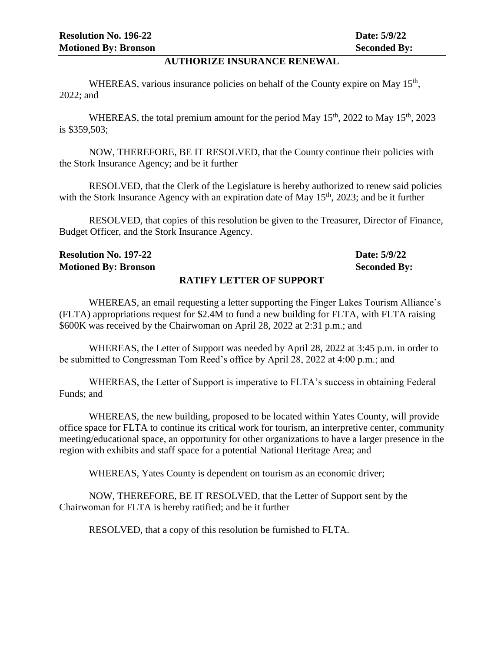#### **AUTHORIZE INSURANCE RENEWAL**

WHEREAS, various insurance policies on behalf of the County expire on May  $15<sup>th</sup>$ , 2022; and

WHEREAS, the total premium amount for the period May  $15<sup>th</sup>$ , 2022 to May  $15<sup>th</sup>$ , 2023 is \$359,503;

NOW, THEREFORE, BE IT RESOLVED, that the County continue their policies with the Stork Insurance Agency; and be it further

RESOLVED, that the Clerk of the Legislature is hereby authorized to renew said policies with the Stork Insurance Agency with an expiration date of May  $15<sup>th</sup>$ , 2023; and be it further

RESOLVED, that copies of this resolution be given to the Treasurer, Director of Finance, Budget Officer, and the Stork Insurance Agency.

| <b>Resolution No. 197-22</b>    | Date: 5/9/22        |
|---------------------------------|---------------------|
| <b>Motioned By: Bronson</b>     | <b>Seconded By:</b> |
| <b>RATIFY LETTER OF SUPPORT</b> |                     |

WHEREAS, an email requesting a letter supporting the Finger Lakes Tourism Alliance's (FLTA) appropriations request for \$2.4M to fund a new building for FLTA, with FLTA raising \$600K was received by the Chairwoman on April 28, 2022 at 2:31 p.m.; and

WHEREAS, the Letter of Support was needed by April 28, 2022 at 3:45 p.m. in order to be submitted to Congressman Tom Reed's office by April 28, 2022 at 4:00 p.m.; and

WHEREAS, the Letter of Support is imperative to FLTA's success in obtaining Federal Funds; and

WHEREAS, the new building, proposed to be located within Yates County, will provide office space for FLTA to continue its critical work for tourism, an interpretive center, community meeting/educational space, an opportunity for other organizations to have a larger presence in the region with exhibits and staff space for a potential National Heritage Area; and

WHEREAS, Yates County is dependent on tourism as an economic driver;

NOW, THEREFORE, BE IT RESOLVED, that the Letter of Support sent by the Chairwoman for FLTA is hereby ratified; and be it further

RESOLVED, that a copy of this resolution be furnished to FLTA.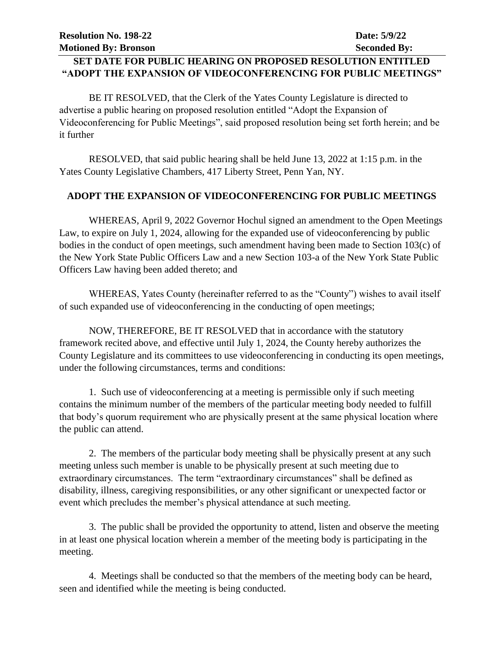### **SET DATE FOR PUBLIC HEARING ON PROPOSED RESOLUTION ENTITLED "ADOPT THE EXPANSION OF VIDEOCONFERENCING FOR PUBLIC MEETINGS"**

BE IT RESOLVED, that the Clerk of the Yates County Legislature is directed to advertise a public hearing on proposed resolution entitled "Adopt the Expansion of Videoconferencing for Public Meetings", said proposed resolution being set forth herein; and be it further

RESOLVED, that said public hearing shall be held June 13, 2022 at 1:15 p.m. in the Yates County Legislative Chambers, 417 Liberty Street, Penn Yan, NY.

#### **ADOPT THE EXPANSION OF VIDEOCONFERENCING FOR PUBLIC MEETINGS**

WHEREAS, April 9, 2022 Governor Hochul signed an amendment to the Open Meetings Law, to expire on July 1, 2024, allowing for the expanded use of videoconferencing by public bodies in the conduct of open meetings, such amendment having been made to Section 103(c) of the New York State Public Officers Law and a new Section 103-a of the New York State Public Officers Law having been added thereto; and

WHEREAS, Yates County (hereinafter referred to as the "County") wishes to avail itself of such expanded use of videoconferencing in the conducting of open meetings;

NOW, THEREFORE, BE IT RESOLVED that in accordance with the statutory framework recited above, and effective until July 1, 2024, the County hereby authorizes the County Legislature and its committees to use videoconferencing in conducting its open meetings, under the following circumstances, terms and conditions:

1. Such use of videoconferencing at a meeting is permissible only if such meeting contains the minimum number of the members of the particular meeting body needed to fulfill that body's quorum requirement who are physically present at the same physical location where the public can attend.

2. The members of the particular body meeting shall be physically present at any such meeting unless such member is unable to be physically present at such meeting due to extraordinary circumstances. The term "extraordinary circumstances" shall be defined as disability, illness, caregiving responsibilities, or any other significant or unexpected factor or event which precludes the member's physical attendance at such meeting.

3. The public shall be provided the opportunity to attend, listen and observe the meeting in at least one physical location wherein a member of the meeting body is participating in the meeting.

4. Meetings shall be conducted so that the members of the meeting body can be heard, seen and identified while the meeting is being conducted.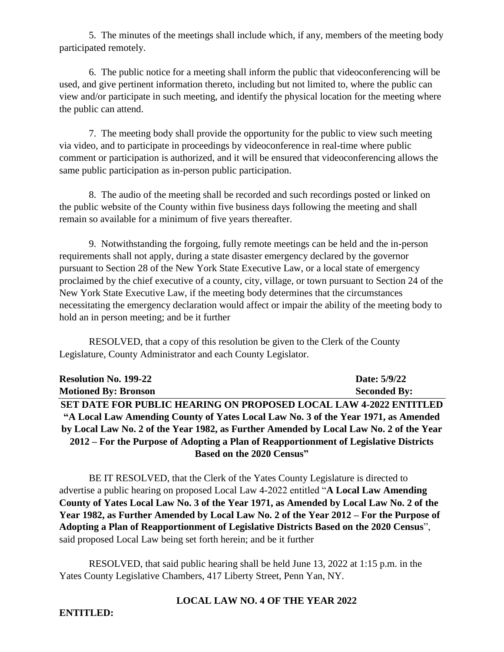5. The minutes of the meetings shall include which, if any, members of the meeting body participated remotely.

6. The public notice for a meeting shall inform the public that videoconferencing will be used, and give pertinent information thereto, including but not limited to, where the public can view and/or participate in such meeting, and identify the physical location for the meeting where the public can attend.

7. The meeting body shall provide the opportunity for the public to view such meeting via video, and to participate in proceedings by videoconference in real-time where public comment or participation is authorized, and it will be ensured that videoconferencing allows the same public participation as in-person public participation.

8. The audio of the meeting shall be recorded and such recordings posted or linked on the public website of the County within five business days following the meeting and shall remain so available for a minimum of five years thereafter.

9. Notwithstanding the forgoing, fully remote meetings can be held and the in-person requirements shall not apply, during a state disaster emergency declared by the governor pursuant to Section 28 of the New York State Executive Law, or a local state of emergency proclaimed by the chief executive of a county, city, village, or town pursuant to Section 24 of the New York State Executive Law, if the meeting body determines that the circumstances necessitating the emergency declaration would affect or impair the ability of the meeting body to hold an in person meeting; and be it further

RESOLVED, that a copy of this resolution be given to the Clerk of the County Legislature, County Administrator and each County Legislator.

| <b>Resolution No. 199-22</b>                                                           | Date: 5/9/22        |
|----------------------------------------------------------------------------------------|---------------------|
| <b>Motioned By: Bronson</b>                                                            | <b>Seconded By:</b> |
| <b>SET DATE FOR PUBLIC HEARING ON PROPOSED LOCAL LAW 4-2022 ENTITLED</b>               |                     |
| "A Local Law Amending County of Yates Local Law No. 3 of the Year 1971, as Amended     |                     |
| by Local Law No. 2 of the Year 1982, as Further Amended by Local Law No. 2 of the Year |                     |
| 2012 – For the Purpose of Adopting a Plan of Reapportionment of Legislative Districts  |                     |
| Based on the 2020 Census"                                                              |                     |

BE IT RESOLVED, that the Clerk of the Yates County Legislature is directed to advertise a public hearing on proposed Local Law 4-2022 entitled "**A Local Law Amending County of Yates Local Law No. 3 of the Year 1971, as Amended by Local Law No. 2 of the Year 1982, as Further Amended by Local Law No. 2 of the Year 2012 – For the Purpose of Adopting a Plan of Reapportionment of Legislative Districts Based on the 2020 Census**", said proposed Local Law being set forth herein; and be it further

RESOLVED, that said public hearing shall be held June 13, 2022 at 1:15 p.m. in the Yates County Legislative Chambers, 417 Liberty Street, Penn Yan, NY.

#### **LOCAL LAW NO. 4 OF THE YEAR 2022**

#### **ENTITLED:**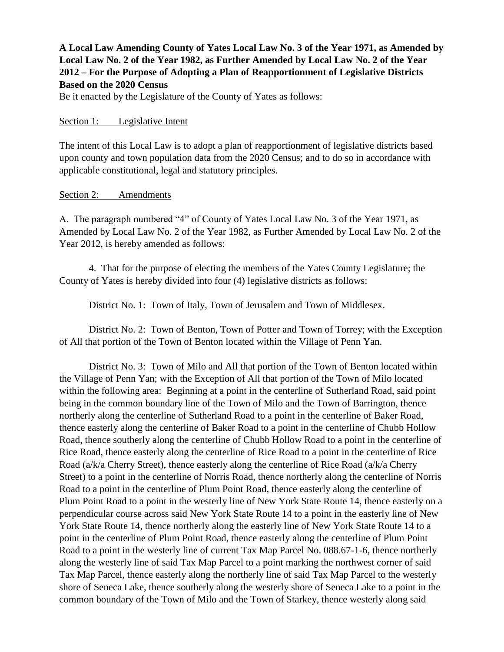### **A Local Law Amending County of Yates Local Law No. 3 of the Year 1971, as Amended by Local Law No. 2 of the Year 1982, as Further Amended by Local Law No. 2 of the Year 2012 – For the Purpose of Adopting a Plan of Reapportionment of Legislative Districts Based on the 2020 Census**

Be it enacted by the Legislature of the County of Yates as follows:

#### Section 1: Legislative Intent

The intent of this Local Law is to adopt a plan of reapportionment of legislative districts based upon county and town population data from the 2020 Census; and to do so in accordance with applicable constitutional, legal and statutory principles.

#### Section 2: Amendments

A. The paragraph numbered "4" of County of Yates Local Law No. 3 of the Year 1971, as Amended by Local Law No. 2 of the Year 1982, as Further Amended by Local Law No. 2 of the Year 2012, is hereby amended as follows:

4. That for the purpose of electing the members of the Yates County Legislature; the County of Yates is hereby divided into four (4) legislative districts as follows:

District No. 1: Town of Italy, Town of Jerusalem and Town of Middlesex.

District No. 2: Town of Benton, Town of Potter and Town of Torrey; with the Exception of All that portion of the Town of Benton located within the Village of Penn Yan.

District No. 3: Town of Milo and All that portion of the Town of Benton located within the Village of Penn Yan; with the Exception of All that portion of the Town of Milo located within the following area: Beginning at a point in the centerline of Sutherland Road, said point being in the common boundary line of the Town of Milo and the Town of Barrington, thence northerly along the centerline of Sutherland Road to a point in the centerline of Baker Road, thence easterly along the centerline of Baker Road to a point in the centerline of Chubb Hollow Road, thence southerly along the centerline of Chubb Hollow Road to a point in the centerline of Rice Road, thence easterly along the centerline of Rice Road to a point in the centerline of Rice Road (a/k/a Cherry Street), thence easterly along the centerline of Rice Road (a/k/a Cherry Street) to a point in the centerline of Norris Road, thence northerly along the centerline of Norris Road to a point in the centerline of Plum Point Road, thence easterly along the centerline of Plum Point Road to a point in the westerly line of New York State Route 14, thence easterly on a perpendicular course across said New York State Route 14 to a point in the easterly line of New York State Route 14, thence northerly along the easterly line of New York State Route 14 to a point in the centerline of Plum Point Road, thence easterly along the centerline of Plum Point Road to a point in the westerly line of current Tax Map Parcel No. 088.67-1-6, thence northerly along the westerly line of said Tax Map Parcel to a point marking the northwest corner of said Tax Map Parcel, thence easterly along the northerly line of said Tax Map Parcel to the westerly shore of Seneca Lake, thence southerly along the westerly shore of Seneca Lake to a point in the common boundary of the Town of Milo and the Town of Starkey, thence westerly along said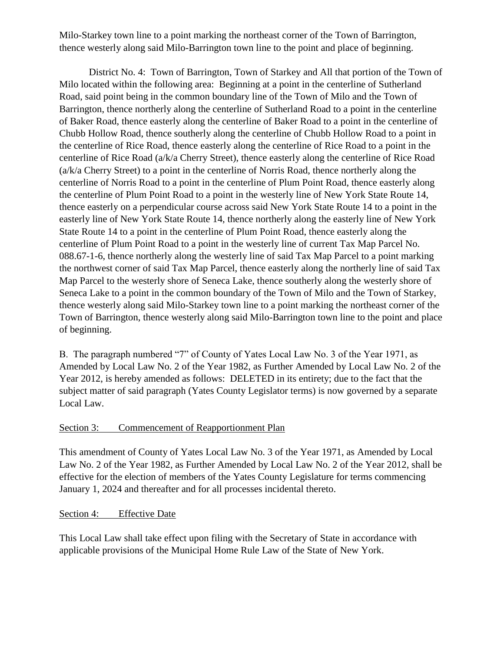Milo-Starkey town line to a point marking the northeast corner of the Town of Barrington, thence westerly along said Milo-Barrington town line to the point and place of beginning.

District No. 4: Town of Barrington, Town of Starkey and All that portion of the Town of Milo located within the following area: Beginning at a point in the centerline of Sutherland Road, said point being in the common boundary line of the Town of Milo and the Town of Barrington, thence northerly along the centerline of Sutherland Road to a point in the centerline of Baker Road, thence easterly along the centerline of Baker Road to a point in the centerline of Chubb Hollow Road, thence southerly along the centerline of Chubb Hollow Road to a point in the centerline of Rice Road, thence easterly along the centerline of Rice Road to a point in the centerline of Rice Road (a/k/a Cherry Street), thence easterly along the centerline of Rice Road (a/k/a Cherry Street) to a point in the centerline of Norris Road, thence northerly along the centerline of Norris Road to a point in the centerline of Plum Point Road, thence easterly along the centerline of Plum Point Road to a point in the westerly line of New York State Route 14, thence easterly on a perpendicular course across said New York State Route 14 to a point in the easterly line of New York State Route 14, thence northerly along the easterly line of New York State Route 14 to a point in the centerline of Plum Point Road, thence easterly along the centerline of Plum Point Road to a point in the westerly line of current Tax Map Parcel No. 088.67-1-6, thence northerly along the westerly line of said Tax Map Parcel to a point marking the northwest corner of said Tax Map Parcel, thence easterly along the northerly line of said Tax Map Parcel to the westerly shore of Seneca Lake, thence southerly along the westerly shore of Seneca Lake to a point in the common boundary of the Town of Milo and the Town of Starkey, thence westerly along said Milo-Starkey town line to a point marking the northeast corner of the Town of Barrington, thence westerly along said Milo-Barrington town line to the point and place of beginning.

B. The paragraph numbered "7" of County of Yates Local Law No. 3 of the Year 1971, as Amended by Local Law No. 2 of the Year 1982, as Further Amended by Local Law No. 2 of the Year 2012, is hereby amended as follows: DELETED in its entirety; due to the fact that the subject matter of said paragraph (Yates County Legislator terms) is now governed by a separate Local Law.

#### Section 3: Commencement of Reapportionment Plan

This amendment of County of Yates Local Law No. 3 of the Year 1971, as Amended by Local Law No. 2 of the Year 1982, as Further Amended by Local Law No. 2 of the Year 2012, shall be effective for the election of members of the Yates County Legislature for terms commencing January 1, 2024 and thereafter and for all processes incidental thereto.

#### Section 4: Effective Date

This Local Law shall take effect upon filing with the Secretary of State in accordance with applicable provisions of the Municipal Home Rule Law of the State of New York.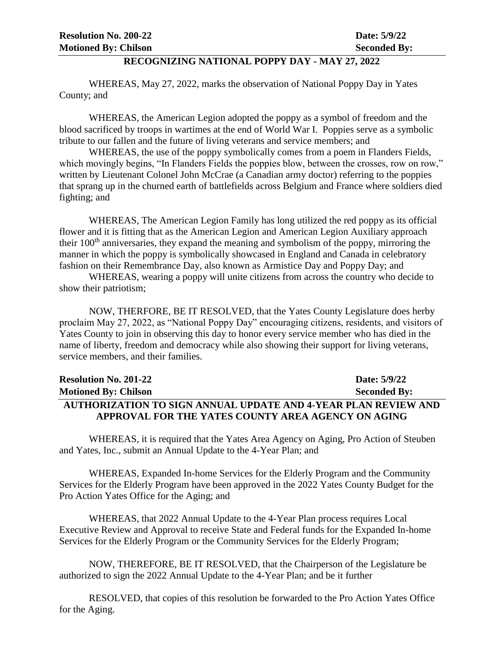#### **RECOGNIZING NATIONAL POPPY DAY - MAY 27, 2022**

WHEREAS, May 27, 2022, marks the observation of National Poppy Day in Yates County; and

WHEREAS, the American Legion adopted the poppy as a symbol of freedom and the blood sacrificed by troops in wartimes at the end of World War I. Poppies serve as a symbolic tribute to our fallen and the future of living veterans and service members; and

WHEREAS, the use of the poppy symbolically comes from a poem in Flanders Fields, which movingly begins, "In Flanders Fields the poppies blow, between the crosses, row on row," written by Lieutenant Colonel John McCrae (a Canadian army doctor) referring to the poppies that sprang up in the churned earth of battlefields across Belgium and France where soldiers died fighting; and

WHEREAS, The American Legion Family has long utilized the red poppy as its official flower and it is fitting that as the American Legion and American Legion Auxiliary approach their 100<sup>th</sup> anniversaries, they expand the meaning and symbolism of the poppy, mirroring the manner in which the poppy is symbolically showcased in England and Canada in celebratory fashion on their Remembrance Day, also known as Armistice Day and Poppy Day; and

WHEREAS, wearing a poppy will unite citizens from across the country who decide to show their patriotism;

NOW, THERFORE, BE IT RESOLVED, that the Yates County Legislature does herby proclaim May 27, 2022, as "National Poppy Day" encouraging citizens, residents, and visitors of Yates County to join in observing this day to honor every service member who has died in the name of liberty, freedom and democracy while also showing their support for living veterans, service members, and their families.

| <b>Resolution No. 201-22</b>                                   | Date: 5/9/22        |
|----------------------------------------------------------------|---------------------|
| <b>Motioned By: Chilson</b>                                    | <b>Seconded By:</b> |
| AUTHORIZATION TO SIGN ANNUAL UPDATE AND 4-YEAR PLAN REVIEW AND |                     |
| APPROVAL FOR THE YATES COUNTY AREA AGENCY ON AGING             |                     |

WHEREAS, it is required that the Yates Area Agency on Aging, Pro Action of Steuben and Yates, Inc., submit an Annual Update to the 4-Year Plan; and

WHEREAS, Expanded In-home Services for the Elderly Program and the Community Services for the Elderly Program have been approved in the 2022 Yates County Budget for the Pro Action Yates Office for the Aging; and

WHEREAS, that 2022 Annual Update to the 4-Year Plan process requires Local Executive Review and Approval to receive State and Federal funds for the Expanded In-home Services for the Elderly Program or the Community Services for the Elderly Program;

NOW, THEREFORE, BE IT RESOLVED, that the Chairperson of the Legislature be authorized to sign the 2022 Annual Update to the 4-Year Plan; and be it further

RESOLVED, that copies of this resolution be forwarded to the Pro Action Yates Office for the Aging.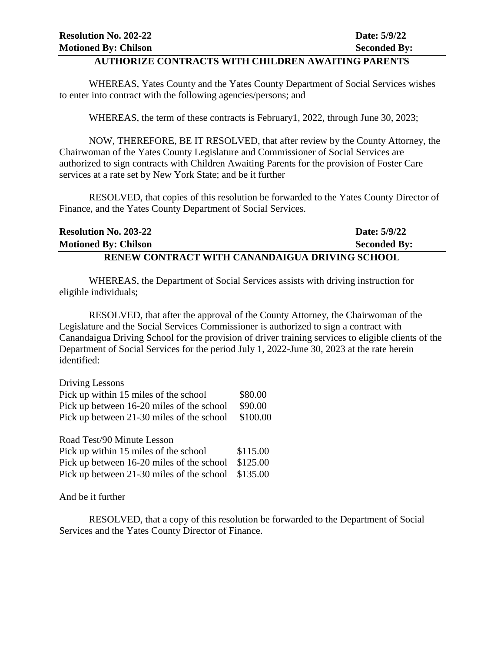#### **AUTHORIZE CONTRACTS WITH CHILDREN AWAITING PARENTS**

WHEREAS, Yates County and the Yates County Department of Social Services wishes to enter into contract with the following agencies/persons; and

WHEREAS, the term of these contracts is February1, 2022, through June 30, 2023;

NOW, THEREFORE, BE IT RESOLVED, that after review by the County Attorney, the Chairwoman of the Yates County Legislature and Commissioner of Social Services are authorized to sign contracts with Children Awaiting Parents for the provision of Foster Care services at a rate set by New York State; and be it further

RESOLVED, that copies of this resolution be forwarded to the Yates County Director of Finance, and the Yates County Department of Social Services.

| <b>Resolution No. 203-22</b>                   | Date: 5/9/22        |
|------------------------------------------------|---------------------|
| <b>Motioned By: Chilson</b>                    | <b>Seconded By:</b> |
| RENEW CONTRACT WITH CANANDAIGUA DRIVING SCHOOL |                     |

WHEREAS, the Department of Social Services assists with driving instruction for eligible individuals;

RESOLVED, that after the approval of the County Attorney, the Chairwoman of the Legislature and the Social Services Commissioner is authorized to sign a contract with Canandaigua Driving School for the provision of driver training services to eligible clients of the Department of Social Services for the period July 1, 2022-June 30, 2023 at the rate herein identified:

| Driving Lessons                           |          |
|-------------------------------------------|----------|
| Pick up within 15 miles of the school     | \$80.00  |
| Pick up between 16-20 miles of the school | \$90.00  |
| Pick up between 21-30 miles of the school | \$100.00 |

| Road Test/90 Minute Lesson                         |          |
|----------------------------------------------------|----------|
| Pick up within 15 miles of the school              | \$115.00 |
| Pick up between 16-20 miles of the school          | \$125.00 |
| Pick up between 21-30 miles of the school \$135.00 |          |

And be it further

RESOLVED, that a copy of this resolution be forwarded to the Department of Social Services and the Yates County Director of Finance.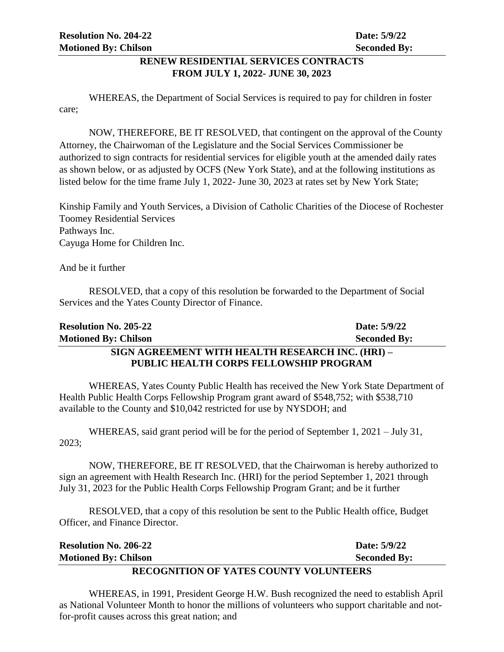#### **RENEW RESIDENTIAL SERVICES CONTRACTS FROM JULY 1, 2022- JUNE 30, 2023**

WHEREAS, the Department of Social Services is required to pay for children in foster care;

NOW, THEREFORE, BE IT RESOLVED, that contingent on the approval of the County Attorney, the Chairwoman of the Legislature and the Social Services Commissioner be authorized to sign contracts for residential services for eligible youth at the amended daily rates as shown below, or as adjusted by OCFS (New York State), and at the following institutions as listed below for the time frame July 1, 2022- June 30, 2023 at rates set by New York State;

Kinship Family and Youth Services, a Division of Catholic Charities of the Diocese of Rochester Toomey Residential Services Pathways Inc. Cayuga Home for Children Inc.

And be it further

RESOLVED, that a copy of this resolution be forwarded to the Department of Social Services and the Yates County Director of Finance.

| <b>Resolution No. 205-22</b>                     | Date: 5/9/22        |
|--------------------------------------------------|---------------------|
| <b>Motioned By: Chilson</b>                      | <b>Seconded By:</b> |
| SIGN AGREEMENT WITH HEALTH RESEARCH INC. (HRI) – |                     |
| <b>PUBLIC HEALTH CORPS FELLOWSHIP PROGRAM</b>    |                     |

WHEREAS, Yates County Public Health has received the New York State Department of Health Public Health Corps Fellowship Program grant award of \$548,752; with \$538,710 available to the County and \$10,042 restricted for use by NYSDOH; and

WHEREAS, said grant period will be for the period of September 1, 2021 – July 31, 2023;

NOW, THEREFORE, BE IT RESOLVED, that the Chairwoman is hereby authorized to sign an agreement with Health Research Inc. (HRI) for the period September 1, 2021 through July 31, 2023 for the Public Health Corps Fellowship Program Grant; and be it further

RESOLVED, that a copy of this resolution be sent to the Public Health office, Budget Officer, and Finance Director.

**Resolution No. 206-22 Date: 5/9/22 Motioned By: Chilson Seconded By:** 

## **RECOGNITION OF YATES COUNTY VOLUNTEERS**

WHEREAS, in 1991, President George H.W. Bush recognized the need to establish April as National Volunteer Month to honor the millions of volunteers who support charitable and notfor-profit causes across this great nation; and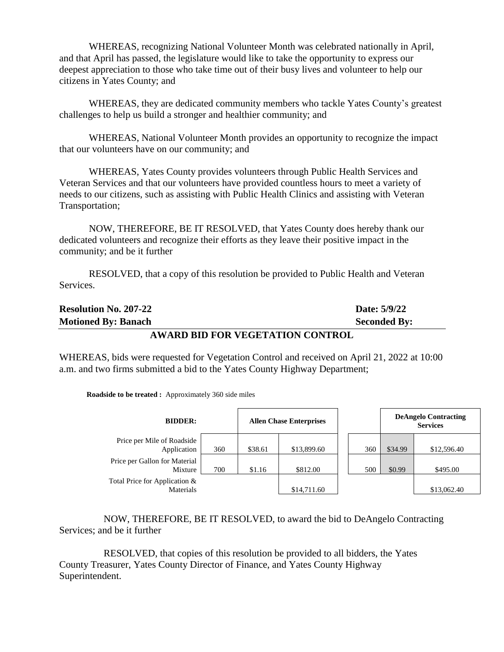WHEREAS, recognizing National Volunteer Month was celebrated nationally in April, and that April has passed, the legislature would like to take the opportunity to express our deepest appreciation to those who take time out of their busy lives and volunteer to help our citizens in Yates County; and

WHEREAS, they are dedicated community members who tackle Yates County's greatest challenges to help us build a stronger and healthier community; and

WHEREAS, National Volunteer Month provides an opportunity to recognize the impact that our volunteers have on our community; and

WHEREAS, Yates County provides volunteers through Public Health Services and Veteran Services and that our volunteers have provided countless hours to meet a variety of needs to our citizens, such as assisting with Public Health Clinics and assisting with Veteran Transportation;

NOW, THEREFORE, BE IT RESOLVED, that Yates County does hereby thank our dedicated volunteers and recognize their efforts as they leave their positive impact in the community; and be it further

RESOLVED, that a copy of this resolution be provided to Public Health and Veteran Services.

| <b>Resolution No. 207-22</b>     | Date: 5/9/22        |
|----------------------------------|---------------------|
| <b>Motioned By: Banach</b>       | <b>Seconded By:</b> |
| AWARD BID FOR VEGETATION CONTROL |                     |

WHEREAS, bids were requested for Vegetation Control and received on April 21, 2022 at 10:00 a.m. and two firms submitted a bid to the Yates County Highway Department;

**Roadside to be treated :** Approximately 360 side miles

| <b>BIDDER:</b>                             |     |         | <b>Allen Chase Enterprises</b> |     | <b>DeAngelo Contracting</b><br><b>Services</b> |             |
|--------------------------------------------|-----|---------|--------------------------------|-----|------------------------------------------------|-------------|
| Price per Mile of Roadside<br>Application  | 360 | \$38.61 | \$13,899.60                    | 360 | \$34.99                                        | \$12,596.40 |
| Price per Gallon for Material<br>Mixture   | 700 | \$1.16  | \$812.00                       | 500 | \$0.99                                         | \$495.00    |
| Total Price for Application &<br>Materials |     |         | \$14,711.60                    |     |                                                | \$13,062.40 |

NOW, THEREFORE, BE IT RESOLVED, to award the bid to DeAngelo Contracting Services; and be it further

RESOLVED, that copies of this resolution be provided to all bidders, the Yates County Treasurer, Yates County Director of Finance, and Yates County Highway Superintendent.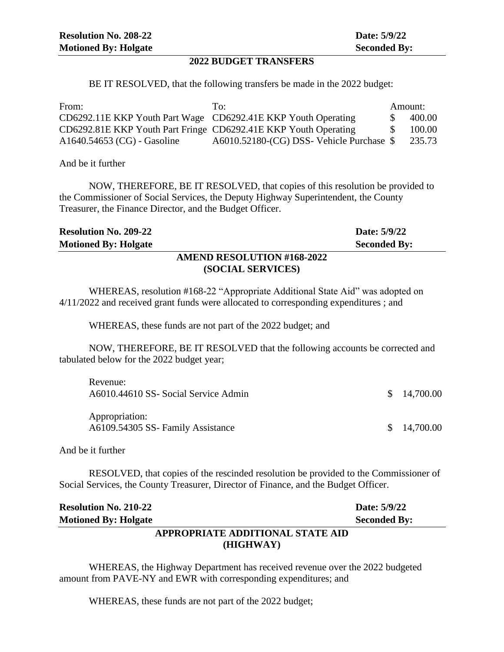#### **2022 BUDGET TRANSFERS**

BE IT RESOLVED, that the following transfers be made in the 2022 budget:

| From:                                                           | To:                                       | Amount:       |        |
|-----------------------------------------------------------------|-------------------------------------------|---------------|--------|
| CD6292.11E KKP Youth Part Wage CD6292.41E KKP Youth Operating   |                                           | $\mathcal{S}$ | 400.00 |
| CD6292.81E KKP Youth Part Fringe CD6292.41E KKP Youth Operating |                                           | SS.           | 100.00 |
| A1640.54653 (CG) - Gasoline                                     | A6010.52180-(CG) DSS- Vehicle Purchase \$ |               | 235.73 |

And be it further

NOW, THEREFORE, BE IT RESOLVED, that copies of this resolution be provided to the Commissioner of Social Services, the Deputy Highway Superintendent, the County Treasurer, the Finance Director, and the Budget Officer.

| <b>Resolution No. 209-22</b>      | Date: 5/9/22        |
|-----------------------------------|---------------------|
| <b>Motioned By: Holgate</b>       | <b>Seconded By:</b> |
| <b>AMEND RESOLUTION #168-2022</b> |                     |
| (SOCIAL SERVICES)                 |                     |

WHEREAS, resolution #168-22 "Appropriate Additional State Aid" was adopted on 4/11/2022 and received grant funds were allocated to corresponding expenditures ; and

WHEREAS, these funds are not part of the 2022 budget; and

NOW, THEREFORE, BE IT RESOLVED that the following accounts be corrected and tabulated below for the 2022 budget year;

| Revenue:<br>A6010.44610 SS- Social Service Admin    | \$14,700.00 |
|-----------------------------------------------------|-------------|
| Appropriation:<br>A6109.54305 SS- Family Assistance | \$14,700.00 |

And be it further

RESOLVED, that copies of the rescinded resolution be provided to the Commissioner of Social Services, the County Treasurer, Director of Finance, and the Budget Officer.

| <b>Resolution No. 210-22</b>     | Date: 5/9/22        |
|----------------------------------|---------------------|
| <b>Motioned By: Holgate</b>      | <b>Seconded By:</b> |
| APPROPRIATE ADDITIONAL STATE AID |                     |
| (HIGHWAY)                        |                     |

WHEREAS, the Highway Department has received revenue over the 2022 budgeted amount from PAVE-NY and EWR with corresponding expenditures; and

WHEREAS, these funds are not part of the 2022 budget;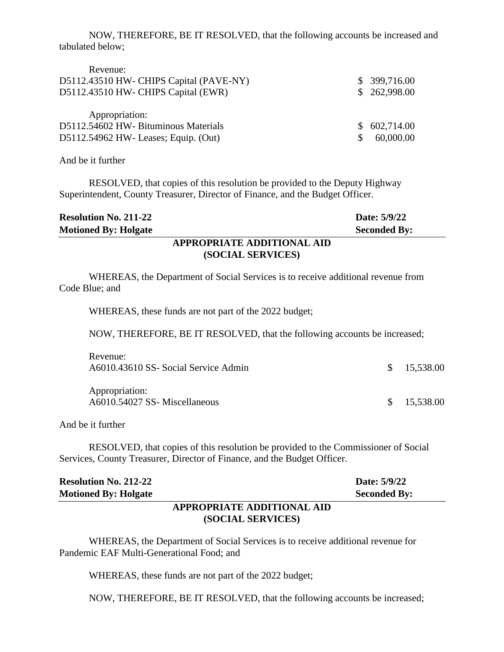NOW, THEREFORE, BE IT RESOLVED, that the following accounts be increased and tabulated below;

| Revenue:                                |              |
|-----------------------------------------|--------------|
| D5112.43510 HW- CHIPS Capital (PAVE-NY) | \$399,716.00 |
| D5112.43510 HW- CHIPS Capital (EWR)     | \$262,998.00 |
| Appropriation:                          |              |
| D5112.54602 HW- Bituminous Materials    | \$602,714.00 |
| D5112.54962 HW- Leases; Equip. (Out)    | 60,000.00    |

And be it further

RESOLVED, that copies of this resolution be provided to the Deputy Highway Superintendent, County Treasurer, Director of Finance, and the Budget Officer.

| <b>Resolution No. 211-22</b> |                            | Date: 5/9/22        |
|------------------------------|----------------------------|---------------------|
| <b>Motioned By: Holgate</b>  |                            | <b>Seconded By:</b> |
|                              | APPROPRIATE ADDITIONAL AID |                     |
|                              | (SOCIAL SERVICES)          |                     |
|                              |                            |                     |

WHEREAS, the Department of Social Services is to receive additional revenue from Code Blue; and

WHEREAS, these funds are not part of the 2022 budget;

NOW, THEREFORE, BE IT RESOLVED, that the following accounts be increased;

| Revenue:<br>A6010.43610 SS- Social Service Admin | \$15,538.00 |
|--------------------------------------------------|-------------|
| Appropriation:<br>A6010.54027 SS-Miscellaneous   | \$15,538.00 |

And be it further

RESOLVED, that copies of this resolution be provided to the Commissioner of Social Services, County Treasurer, Director of Finance, and the Budget Officer.

| <b>Resolution No. 212-22</b> |                            | Date: 5/9/22        |
|------------------------------|----------------------------|---------------------|
| <b>Motioned By: Holgate</b>  |                            | <b>Seconded By:</b> |
|                              | APPROPRIATE ADDITIONAL AID |                     |

# **(SOCIAL SERVICES)**

WHEREAS, the Department of Social Services is to receive additional revenue for Pandemic EAF Multi-Generational Food; and

WHEREAS, these funds are not part of the 2022 budget;

NOW, THEREFORE, BE IT RESOLVED, that the following accounts be increased;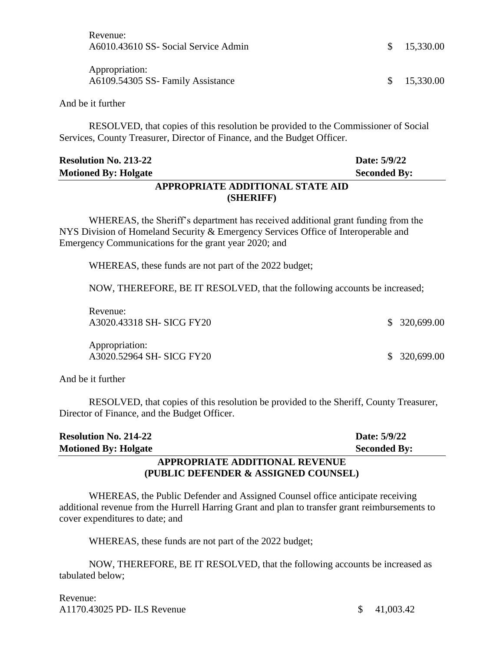| Revenue:<br>A6010.43610 SS- Social Service Admin                                         | <sup>S</sup> | 15,330.00 |
|------------------------------------------------------------------------------------------|--------------|-----------|
| Appropriation:<br>A6109.54305 SS- Family Assistance                                      | \$.          | 15,330.00 |
| And be it further                                                                        |              |           |
| <b>RESOLUED</b> that copies of this resolution be provided to the Commissioner of Social |              |           |

RESOLVED, that copies of this resolution be provided to the Commissioner of Social Services, County Treasurer, Director of Finance, and the Budget Officer.

|                              | A PPROPDIATE A DDITIONAL STATE AID |                     |
|------------------------------|------------------------------------|---------------------|
| <b>Motioned By: Holgate</b>  |                                    | <b>Seconded By:</b> |
| <b>Resolution No. 213-22</b> |                                    | Date: 5/9/22        |

#### **APPROPRIATE ADDITIONAL STATE AID (SHERIFF)**

WHEREAS, the Sheriff's department has received additional grant funding from the NYS Division of Homeland Security & Emergency Services Office of Interoperable and Emergency Communications for the grant year 2020; and

WHEREAS, these funds are not part of the 2022 budget;

NOW, THEREFORE, BE IT RESOLVED, that the following accounts be increased;

Revenue: A3020.43318 SH- SICG FY20 \$ 320,699.00

Appropriation: A3020.52964 SH- SICG FY20 \$ 320,699.00

And be it further

RESOLVED, that copies of this resolution be provided to the Sheriff, County Treasurer, Director of Finance, and the Budget Officer.

| <b>Resolution No. 214-22</b> |                                | Date: 5/9/22        |
|------------------------------|--------------------------------|---------------------|
| <b>Motioned By: Holgate</b>  |                                | <b>Seconded By:</b> |
|                              | APPROPRIATE ADDITIONAL REVENUE |                     |

# **(PUBLIC DEFENDER & ASSIGNED COUNSEL)**

WHEREAS, the Public Defender and Assigned Counsel office anticipate receiving additional revenue from the Hurrell Harring Grant and plan to transfer grant reimbursements to cover expenditures to date; and

WHEREAS, these funds are not part of the 2022 budget;

NOW, THEREFORE, BE IT RESOLVED, that the following accounts be increased as tabulated below;

Revenue: A1170.43025 PD- ILS Revenue  $\qquad \qquad$  \$ 41,003.42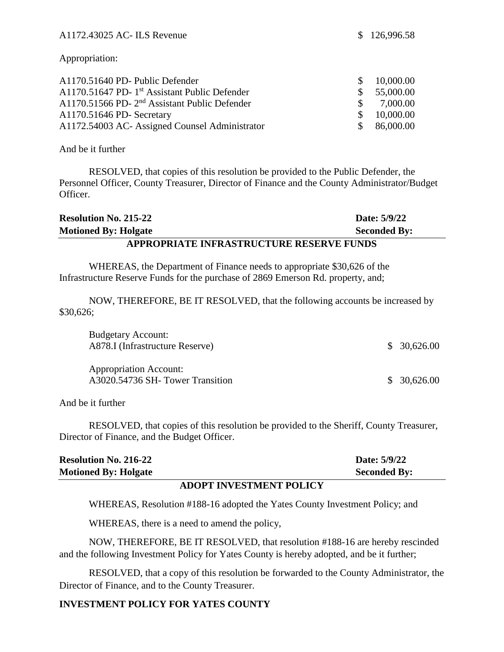Appropriation:

| A1170.51640 PD- Public Defender                             |               | \$10,000.00 |
|-------------------------------------------------------------|---------------|-------------|
| $A1170.51647$ PD- 1 <sup>st</sup> Assistant Public Defender |               | \$55,000.00 |
| A1170.51566 PD-2 <sup>nd</sup> Assistant Public Defender    | $\mathcal{S}$ | 7,000.00    |
| A1170.51646 PD- Secretary                                   |               | \$10,000.00 |
| A1172.54003 AC- Assigned Counsel Administrator              |               | \$86,000.00 |

And be it further

RESOLVED, that copies of this resolution be provided to the Public Defender, the Personnel Officer, County Treasurer, Director of Finance and the County Administrator/Budget Officer.

| <b>Resolution No. 215-22</b>             | Date: 5/9/22        |  |
|------------------------------------------|---------------------|--|
| <b>Motioned By: Holgate</b>              | <b>Seconded By:</b> |  |
| APPROPRIATE INFRASTRUCTURE RESERVE FUNDS |                     |  |

WHEREAS, the Department of Finance needs to appropriate \$30,626 of the Infrastructure Reserve Funds for the purchase of 2869 Emerson Rd. property, and;

NOW, THEREFORE, BE IT RESOLVED, that the following accounts be increased by \$30,626;

| <b>Budgetary Account:</b><br>A878.I (Infrastructure Reserve)     | \$30,626.00 |
|------------------------------------------------------------------|-------------|
| <b>Appropriation Account:</b><br>A3020.54736 SH-Tower Transition | \$30,626.00 |

And be it further

RESOLVED, that copies of this resolution be provided to the Sheriff, County Treasurer, Director of Finance, and the Budget Officer.

|                              | I BADIR INITRATU IRNIH BAT TAV |                     |
|------------------------------|--------------------------------|---------------------|
| <b>Motioned By: Holgate</b>  |                                | <b>Seconded By:</b> |
| <b>Resolution No. 216-22</b> |                                | Date: 5/9/22        |

#### **ADOPT INVESTMENT POLICY**

WHEREAS, Resolution #188-16 adopted the Yates County Investment Policy; and

WHEREAS, there is a need to amend the policy,

NOW, THEREFORE, BE IT RESOLVED, that resolution #188-16 are hereby rescinded and the following Investment Policy for Yates County is hereby adopted, and be it further;

RESOLVED, that a copy of this resolution be forwarded to the County Administrator, the Director of Finance, and to the County Treasurer.

#### **INVESTMENT POLICY FOR YATES COUNTY**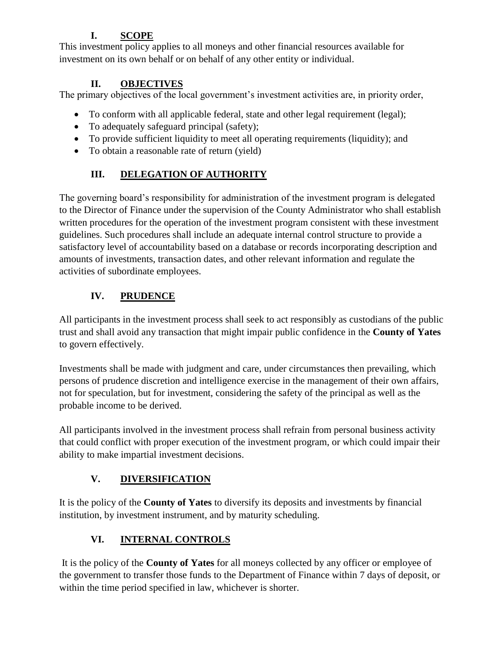# **I. SCOPE**

This investment policy applies to all moneys and other financial resources available for investment on its own behalf or on behalf of any other entity or individual.

# **II. OBJECTIVES**

The primary objectives of the local government's investment activities are, in priority order,

- To conform with all applicable federal, state and other legal requirement (legal);
- To adequately safeguard principal (safety);
- To provide sufficient liquidity to meet all operating requirements (liquidity); and
- To obtain a reasonable rate of return (yield)

# **III. DELEGATION OF AUTHORITY**

The governing board's responsibility for administration of the investment program is delegated to the Director of Finance under the supervision of the County Administrator who shall establish written procedures for the operation of the investment program consistent with these investment guidelines. Such procedures shall include an adequate internal control structure to provide a satisfactory level of accountability based on a database or records incorporating description and amounts of investments, transaction dates, and other relevant information and regulate the activities of subordinate employees.

# **IV. PRUDENCE**

All participants in the investment process shall seek to act responsibly as custodians of the public trust and shall avoid any transaction that might impair public confidence in the **County of Yates** to govern effectively.

Investments shall be made with judgment and care, under circumstances then prevailing, which persons of prudence discretion and intelligence exercise in the management of their own affairs, not for speculation, but for investment, considering the safety of the principal as well as the probable income to be derived.

All participants involved in the investment process shall refrain from personal business activity that could conflict with proper execution of the investment program, or which could impair their ability to make impartial investment decisions.

# **V. DIVERSIFICATION**

It is the policy of the **County of Yates** to diversify its deposits and investments by financial institution, by investment instrument, and by maturity scheduling.

# **VI. INTERNAL CONTROLS**

It is the policy of the **County of Yates** for all moneys collected by any officer or employee of the government to transfer those funds to the Department of Finance within 7 days of deposit, or within the time period specified in law, whichever is shorter.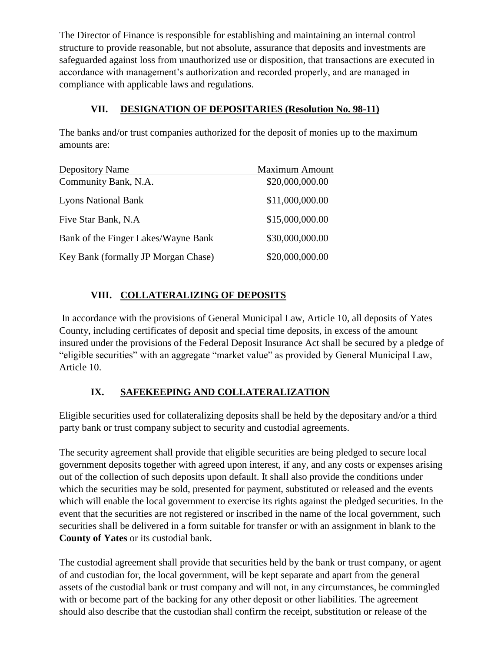The Director of Finance is responsible for establishing and maintaining an internal control structure to provide reasonable, but not absolute, assurance that deposits and investments are safeguarded against loss from unauthorized use or disposition, that transactions are executed in accordance with management's authorization and recorded properly, and are managed in compliance with applicable laws and regulations.

### **VII. DESIGNATION OF DEPOSITARIES (Resolution No. 98-11)**

The banks and/or trust companies authorized for the deposit of monies up to the maximum amounts are:

| <b>Depository Name</b>              | <b>Maximum Amount</b> |
|-------------------------------------|-----------------------|
| Community Bank, N.A.                | \$20,000,000.00       |
| <b>Lyons National Bank</b>          | \$11,000,000.00       |
| Five Star Bank, N.A.                | \$15,000,000.00       |
| Bank of the Finger Lakes/Wayne Bank | \$30,000,000.00       |
| Key Bank (formally JP Morgan Chase) | \$20,000,000.00       |

### **VIII. COLLATERALIZING OF DEPOSITS**

In accordance with the provisions of General Municipal Law, Article 10, all deposits of Yates County, including certificates of deposit and special time deposits, in excess of the amount insured under the provisions of the Federal Deposit Insurance Act shall be secured by a pledge of "eligible securities" with an aggregate "market value" as provided by General Municipal Law, Article 10.

# **IX. SAFEKEEPING AND COLLATERALIZATION**

Eligible securities used for collateralizing deposits shall be held by the depositary and/or a third party bank or trust company subject to security and custodial agreements.

The security agreement shall provide that eligible securities are being pledged to secure local government deposits together with agreed upon interest, if any, and any costs or expenses arising out of the collection of such deposits upon default. It shall also provide the conditions under which the securities may be sold, presented for payment, substituted or released and the events which will enable the local government to exercise its rights against the pledged securities. In the event that the securities are not registered or inscribed in the name of the local government, such securities shall be delivered in a form suitable for transfer or with an assignment in blank to the **County of Yates** or its custodial bank.

The custodial agreement shall provide that securities held by the bank or trust company, or agent of and custodian for, the local government, will be kept separate and apart from the general assets of the custodial bank or trust company and will not, in any circumstances, be commingled with or become part of the backing for any other deposit or other liabilities. The agreement should also describe that the custodian shall confirm the receipt, substitution or release of the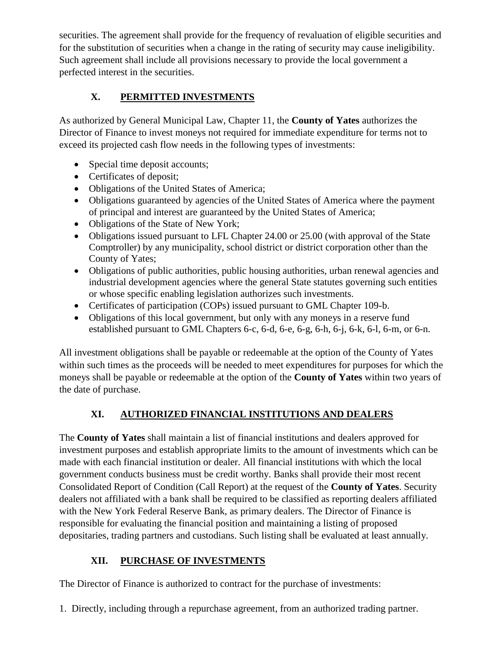securities. The agreement shall provide for the frequency of revaluation of eligible securities and for the substitution of securities when a change in the rating of security may cause ineligibility. Such agreement shall include all provisions necessary to provide the local government a perfected interest in the securities.

# **X. PERMITTED INVESTMENTS**

As authorized by General Municipal Law, Chapter 11, the **County of Yates** authorizes the Director of Finance to invest moneys not required for immediate expenditure for terms not to exceed its projected cash flow needs in the following types of investments:

- Special time deposit accounts;
- Certificates of deposit;
- Obligations of the United States of America;
- Obligations guaranteed by agencies of the United States of America where the payment of principal and interest are guaranteed by the United States of America;
- Obligations of the State of New York;
- Obligations issued pursuant to LFL Chapter 24.00 or 25.00 (with approval of the State Comptroller) by any municipality, school district or district corporation other than the County of Yates;
- Obligations of public authorities, public housing authorities, urban renewal agencies and industrial development agencies where the general State statutes governing such entities or whose specific enabling legislation authorizes such investments.
- Certificates of participation (COPs) issued pursuant to GML Chapter 109-b.
- Obligations of this local government, but only with any moneys in a reserve fund established pursuant to GML Chapters 6-c, 6-d, 6-e, 6-g, 6-h, 6-j, 6-k, 6-l, 6-m, or 6-n.

All investment obligations shall be payable or redeemable at the option of the County of Yates within such times as the proceeds will be needed to meet expenditures for purposes for which the moneys shall be payable or redeemable at the option of the **County of Yates** within two years of the date of purchase.

# **XI. AUTHORIZED FINANCIAL INSTITUTIONS AND DEALERS**

The **County of Yates** shall maintain a list of financial institutions and dealers approved for investment purposes and establish appropriate limits to the amount of investments which can be made with each financial institution or dealer. All financial institutions with which the local government conducts business must be credit worthy. Banks shall provide their most recent Consolidated Report of Condition (Call Report) at the request of the **County of Yates**. Security dealers not affiliated with a bank shall be required to be classified as reporting dealers affiliated with the New York Federal Reserve Bank, as primary dealers. The Director of Finance is responsible for evaluating the financial position and maintaining a listing of proposed depositaries, trading partners and custodians. Such listing shall be evaluated at least annually.

# **XII. PURCHASE OF INVESTMENTS**

The Director of Finance is authorized to contract for the purchase of investments:

1. Directly, including through a repurchase agreement, from an authorized trading partner.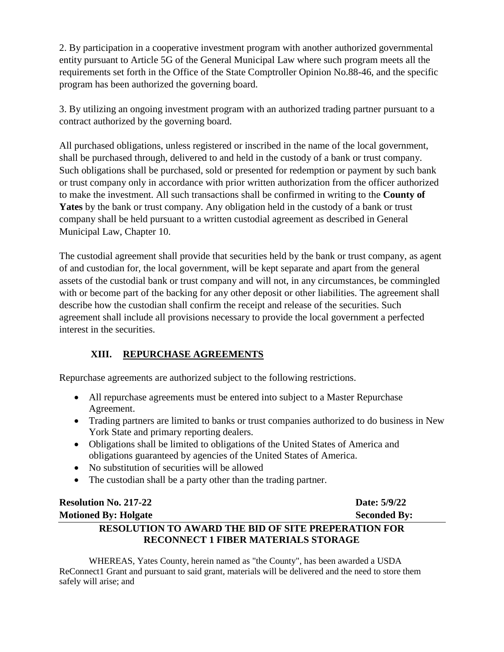2. By participation in a cooperative investment program with another authorized governmental entity pursuant to Article 5G of the General Municipal Law where such program meets all the requirements set forth in the Office of the State Comptroller Opinion No.88-46, and the specific program has been authorized the governing board.

3. By utilizing an ongoing investment program with an authorized trading partner pursuant to a contract authorized by the governing board.

All purchased obligations, unless registered or inscribed in the name of the local government, shall be purchased through, delivered to and held in the custody of a bank or trust company. Such obligations shall be purchased, sold or presented for redemption or payment by such bank or trust company only in accordance with prior written authorization from the officer authorized to make the investment. All such transactions shall be confirmed in writing to the **County of Yates** by the bank or trust company. Any obligation held in the custody of a bank or trust company shall be held pursuant to a written custodial agreement as described in General Municipal Law, Chapter 10.

The custodial agreement shall provide that securities held by the bank or trust company, as agent of and custodian for, the local government, will be kept separate and apart from the general assets of the custodial bank or trust company and will not, in any circumstances, be commingled with or become part of the backing for any other deposit or other liabilities. The agreement shall describe how the custodian shall confirm the receipt and release of the securities. Such agreement shall include all provisions necessary to provide the local government a perfected interest in the securities.

### **XIII. REPURCHASE AGREEMENTS**

Repurchase agreements are authorized subject to the following restrictions.

- All repurchase agreements must be entered into subject to a Master Repurchase Agreement.
- Trading partners are limited to banks or trust companies authorized to do business in New York State and primary reporting dealers.
- Obligations shall be limited to obligations of the United States of America and obligations guaranteed by agencies of the United States of America.
- No substitution of securities will be allowed
- The custodian shall be a party other than the trading partner.

| <b>Resolution No. 217-22</b>                               | Date: 5/9/22        |
|------------------------------------------------------------|---------------------|
| <b>Motioned By: Holgate</b>                                | <b>Seconded By:</b> |
| <b>RESOLUTION TO AWARD THE BID OF SITE PREPERATION FOR</b> |                     |
| <b>RECONNECT 1 FIBER MATERIALS STORAGE</b>                 |                     |

WHEREAS, Yates County, herein named as "the County", has been awarded a USDA ReConnect1 Grant and pursuant to said grant, materials will be delivered and the need to store them safely will arise; and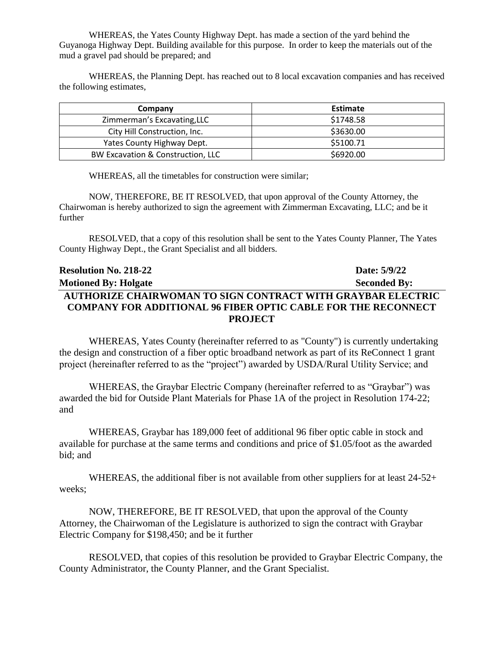WHEREAS, the Yates County Highway Dept. has made a section of the yard behind the Guyanoga Highway Dept. Building available for this purpose. In order to keep the materials out of the mud a gravel pad should be prepared; and

WHEREAS, the Planning Dept. has reached out to 8 local excavation companies and has received the following estimates,

| Company                           | <b>Estimate</b> |
|-----------------------------------|-----------------|
| Zimmerman's Excavating, LLC       | \$1748.58       |
| City Hill Construction, Inc.      | \$3630.00       |
| Yates County Highway Dept.        | \$5100.71       |
| BW Excavation & Construction, LLC | \$6920.00       |

WHEREAS, all the timetables for construction were similar;

NOW, THEREFORE, BE IT RESOLVED, that upon approval of the County Attorney, the Chairwoman is hereby authorized to sign the agreement with Zimmerman Excavating, LLC; and be it further

RESOLVED, that a copy of this resolution shall be sent to the Yates County Planner, The Yates County Highway Dept., the Grant Specialist and all bidders.

| <b>Resolution No. 218-22</b>                                         | Date: 5/9/22        |
|----------------------------------------------------------------------|---------------------|
| <b>Motioned By: Holgate</b>                                          | <b>Seconded By:</b> |
| AUTHORIZE CHAIRWOMAN TO SIGN CONTRACT WITH GRAYBAR ELECTRIC          |                     |
| <b>COMPANY FOR ADDITIONAL 96 FIBER OPTIC CABLE FOR THE RECONNECT</b> |                     |
| <b>PROJECT</b>                                                       |                     |

WHEREAS, Yates County (hereinafter referred to as "County") is currently undertaking the design and construction of a fiber optic broadband network as part of its ReConnect 1 grant project (hereinafter referred to as the "project") awarded by USDA/Rural Utility Service; and

WHEREAS, the Graybar Electric Company (hereinafter referred to as "Graybar") was awarded the bid for Outside Plant Materials for Phase 1A of the project in Resolution 174-22; and

WHEREAS, Graybar has 189,000 feet of additional 96 fiber optic cable in stock and available for purchase at the same terms and conditions and price of \$1.05/foot as the awarded bid; and

WHEREAS, the additional fiber is not available from other suppliers for at least  $24-52+$ weeks;

NOW, THEREFORE, BE IT RESOLVED, that upon the approval of the County Attorney, the Chairwoman of the Legislature is authorized to sign the contract with Graybar Electric Company for \$198,450; and be it further

RESOLVED, that copies of this resolution be provided to Graybar Electric Company, the County Administrator, the County Planner, and the Grant Specialist.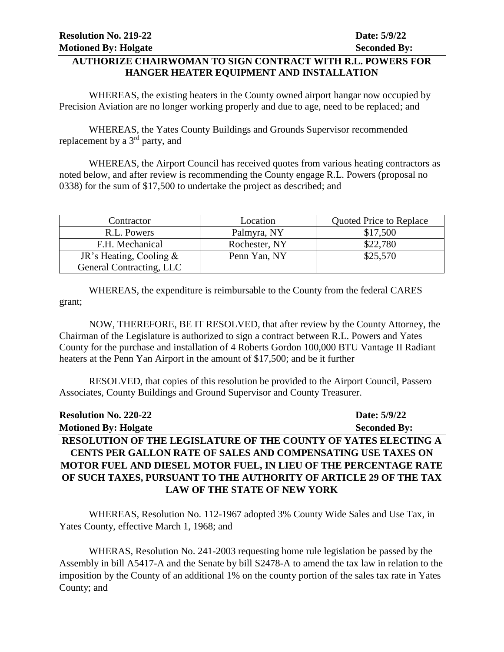#### **AUTHORIZE CHAIRWOMAN TO SIGN CONTRACT WITH R.L. POWERS FOR HANGER HEATER EQUIPMENT AND INSTALLATION**

WHEREAS, the existing heaters in the County owned airport hangar now occupied by Precision Aviation are no longer working properly and due to age, need to be replaced; and

WHEREAS, the Yates County Buildings and Grounds Supervisor recommended replacement by a 3rd party, and

WHEREAS, the Airport Council has received quotes from various heating contractors as noted below, and after review is recommending the County engage R.L. Powers (proposal no 0338) for the sum of \$17,500 to undertake the project as described; and

| Contractor                | Location      | Quoted Price to Replace |
|---------------------------|---------------|-------------------------|
| R.L. Powers               | Palmyra, NY   | \$17,500                |
| F.H. Mechanical           | Rochester, NY | \$22,780                |
| JR's Heating, Cooling $&$ | Penn Yan, NY  | \$25,570                |
| General Contracting, LLC  |               |                         |

WHEREAS, the expenditure is reimbursable to the County from the federal CARES grant;

NOW, THEREFORE, BE IT RESOLVED, that after review by the County Attorney, the Chairman of the Legislature is authorized to sign a contract between R.L. Powers and Yates County for the purchase and installation of 4 Roberts Gordon 100,000 BTU Vantage II Radiant heaters at the Penn Yan Airport in the amount of \$17,500; and be it further

RESOLVED, that copies of this resolution be provided to the Airport Council, Passero Associates, County Buildings and Ground Supervisor and County Treasurer.

| <b>Resolution No. 220-22</b>                                      | Date: 5/9/22        |
|-------------------------------------------------------------------|---------------------|
| <b>Motioned By: Holgate</b>                                       | <b>Seconded By:</b> |
| RESOLUTION OF THE LEGISLATURE OF THE COUNTY OF YATES ELECTING A   |                     |
| CENTS PER GALLON RATE OF SALES AND COMPENSATING USE TAXES ON      |                     |
| MOTOR FUEL AND DIESEL MOTOR FUEL, IN LIEU OF THE PERCENTAGE RATE  |                     |
| OF SUCH TAXES, PURSUANT TO THE AUTHORITY OF ARTICLE 29 OF THE TAX |                     |
| <b>LAW OF THE STATE OF NEW YORK</b>                               |                     |

WHEREAS, Resolution No. 112-1967 adopted 3% County Wide Sales and Use Tax, in Yates County, effective March 1, 1968; and

WHERAS, Resolution No. 241-2003 requesting home rule legislation be passed by the Assembly in bill A5417-A and the Senate by bill S2478-A to amend the tax law in relation to the imposition by the County of an additional 1% on the county portion of the sales tax rate in Yates County; and